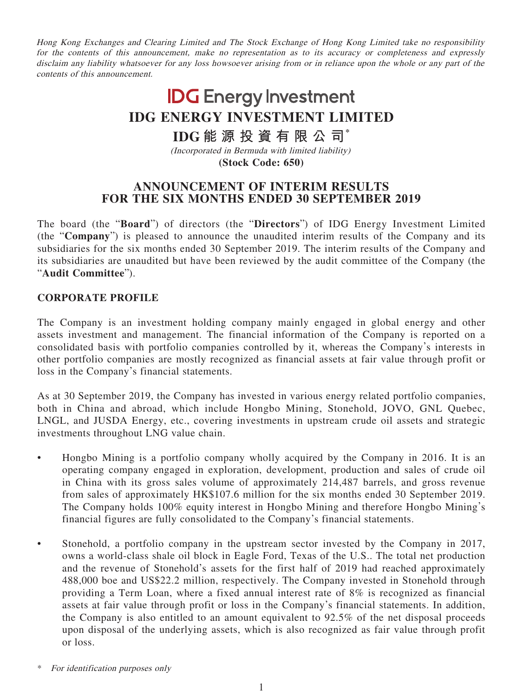Hong Kong Exchanges and Clearing Limited and The Stock Exchange of Hong Kong Limited take no responsibility for the contents of this announcement, make no representation as to its accuracy or completeness and expressly disclaim any liability whatsoever for any loss howsoever arising from or in reliance upon the whole or any part of the contents of this announcement.

# **IDG** Energy Investment **IDG ENERGY INVESTMENT LIMITED**

# **IDG 能源投資有限公司\***

(Incorporated in Bermuda with limited liability) **(Stock Code: 650)**

# **ANNOUNCEMENT OF INTERIM RESULTS FOR THE SIX MONTHS ENDED 30 SEPTEMBER 2019**

The board (the "**Board**") of directors (the "**Directors**") of IDG Energy Investment Limited (the "**Company**") is pleased to announce the unaudited interim results of the Company and its subsidiaries for the six months ended 30 September 2019. The interim results of the Company and its subsidiaries are unaudited but have been reviewed by the audit committee of the Company (the "**Audit Committee**").

### **CORPORATE PROFILE**

The Company is an investment holding company mainly engaged in global energy and other assets investment and management. The financial information of the Company is reported on a consolidated basis with portfolio companies controlled by it, whereas the Company's interests in other portfolio companies are mostly recognized as financial assets at fair value through profit or loss in the Company's financial statements.

As at 30 September 2019, the Company has invested in various energy related portfolio companies, both in China and abroad, which include Hongbo Mining, Stonehold, JOVO, GNL Quebec, LNGL, and JUSDA Energy, etc., covering investments in upstream crude oil assets and strategic investments throughout LNG value chain.

- Hongbo Mining is a portfolio company wholly acquired by the Company in 2016. It is an operating company engaged in exploration, development, production and sales of crude oil in China with its gross sales volume of approximately 214,487 barrels, and gross revenue from sales of approximately HK\$107.6 million for the six months ended 30 September 2019. The Company holds 100% equity interest in Hongbo Mining and therefore Hongbo Mining's financial figures are fully consolidated to the Company's financial statements.
- Stonehold, a portfolio company in the upstream sector invested by the Company in 2017, owns a world-class shale oil block in Eagle Ford, Texas of the U.S.. The total net production and the revenue of Stonehold's assets for the first half of 2019 had reached approximately 488,000 boe and US\$22.2 million, respectively. The Company invested in Stonehold through providing a Term Loan, where a fixed annual interest rate of 8% is recognized as financial assets at fair value through profit or loss in the Company's financial statements. In addition, the Company is also entitled to an amount equivalent to 92.5% of the net disposal proceeds upon disposal of the underlying assets, which is also recognized as fair value through profit or loss.

For identification purposes only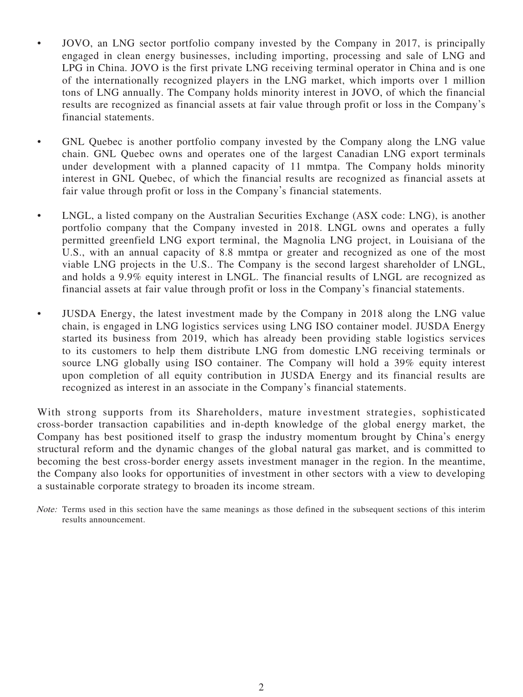- JOVO, an LNG sector portfolio company invested by the Company in 2017, is principally engaged in clean energy businesses, including importing, processing and sale of LNG and LPG in China. JOVO is the first private LNG receiving terminal operator in China and is one of the internationally recognized players in the LNG market, which imports over 1 million tons of LNG annually. The Company holds minority interest in JOVO, of which the financial results are recognized as financial assets at fair value through profit or loss in the Company's financial statements.
- GNL Quebec is another portfolio company invested by the Company along the LNG value chain. GNL Quebec owns and operates one of the largest Canadian LNG export terminals under development with a planned capacity of 11 mmtpa. The Company holds minority interest in GNL Quebec, of which the financial results are recognized as financial assets at fair value through profit or loss in the Company's financial statements.
- LNGL, a listed company on the Australian Securities Exchange (ASX code: LNG), is another portfolio company that the Company invested in 2018. LNGL owns and operates a fully permitted greenfield LNG export terminal, the Magnolia LNG project, in Louisiana of the U.S., with an annual capacity of 8.8 mmtpa or greater and recognized as one of the most viable LNG projects in the U.S.. The Company is the second largest shareholder of LNGL, and holds a 9.9% equity interest in LNGL. The financial results of LNGL are recognized as financial assets at fair value through profit or loss in the Company's financial statements.
- JUSDA Energy, the latest investment made by the Company in 2018 along the LNG value chain, is engaged in LNG logistics services using LNG ISO container model. JUSDA Energy started its business from 2019, which has already been providing stable logistics services to its customers to help them distribute LNG from domestic LNG receiving terminals or source LNG globally using ISO container. The Company will hold a 39% equity interest upon completion of all equity contribution in JUSDA Energy and its financial results are recognized as interest in an associate in the Company's financial statements.

With strong supports from its Shareholders, mature investment strategies, sophisticated cross-border transaction capabilities and in-depth knowledge of the global energy market, the Company has best positioned itself to grasp the industry momentum brought by China's energy structural reform and the dynamic changes of the global natural gas market, and is committed to becoming the best cross-border energy assets investment manager in the region. In the meantime, the Company also looks for opportunities of investment in other sectors with a view to developing a sustainable corporate strategy to broaden its income stream.

Note: Terms used in this section have the same meanings as those defined in the subsequent sections of this interim results announcement.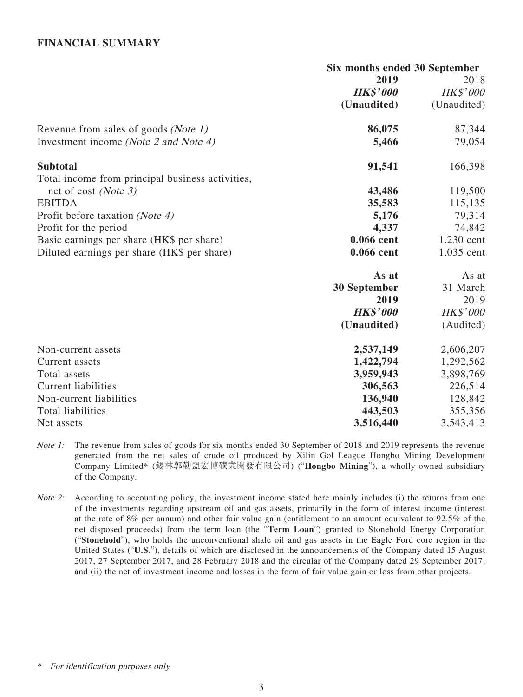#### **FINANCIAL SUMMARY**

|                                                  | Six months ended 30 September |                 |  |
|--------------------------------------------------|-------------------------------|-----------------|--|
|                                                  | 2019                          | 2018            |  |
|                                                  | <b>HK\$'000</b>               | HK\$'000        |  |
|                                                  | (Unaudited)                   | (Unaudited)     |  |
| Revenue from sales of goods (Note 1)             | 86,075                        | 87,344          |  |
| Investment income (Note 2 and Note 4)            | 5,466                         | 79,054          |  |
| <b>Subtotal</b>                                  | 91,541                        | 166,398         |  |
| Total income from principal business activities, |                               |                 |  |
| net of cost (Note 3)                             | 43,486                        | 119,500         |  |
| <b>EBITDA</b>                                    | 35,583                        | 115,135         |  |
| Profit before taxation (Note 4)                  | 5,176                         | 79,314          |  |
| Profit for the period                            | 4,337                         | 74,842          |  |
| Basic earnings per share (HK\$ per share)        | 0.066 cent                    | 1.230 cent      |  |
| Diluted earnings per share (HK\$ per share)      | 0.066 cent                    | 1.035 cent      |  |
|                                                  | As at                         | As at           |  |
|                                                  | <b>30 September</b>           | 31 March        |  |
|                                                  | 2019                          | 2019            |  |
|                                                  | <b>HK\$'000</b>               | <b>HK\$'000</b> |  |
|                                                  | (Unaudited)                   | (Audited)       |  |
| Non-current assets                               | 2,537,149                     | 2,606,207       |  |
| Current assets                                   | 1,422,794                     | 1,292,562       |  |
| Total assets                                     | 3,959,943                     | 3,898,769       |  |
| <b>Current liabilities</b>                       | 306,563                       | 226,514         |  |
| Non-current liabilities                          | 136,940                       | 128,842         |  |
| Total liabilities                                | 443,503                       | 355,356         |  |
| Net assets                                       | 3,516,440                     | 3,543,413       |  |

- Note 1: The revenue from sales of goods for six months ended 30 September of 2018 and 2019 represents the revenue generated from the net sales of crude oil produced by Xilin Gol League Hongbo Mining Development Company Limited\* (錫林郭勒盟宏博礦業開發有限公司) ("**Hongbo Mining**"), a wholly-owned subsidiary of the Company.
- Note 2: According to accounting policy, the investment income stated here mainly includes (i) the returns from one of the investments regarding upstream oil and gas assets, primarily in the form of interest income (interest at the rate of 8% per annum) and other fair value gain (entitlement to an amount equivalent to 92.5% of the net disposed proceeds) from the term loan (the "**Term Loan**") granted to Stonehold Energy Corporation ("**Stonehold**"), who holds the unconventional shale oil and gas assets in the Eagle Ford core region in the United States ("**U.S.**"), details of which are disclosed in the announcements of the Company dated 15 August 2017, 27 September 2017, and 28 February 2018 and the circular of the Company dated 29 September 2017; and (ii) the net of investment income and losses in the form of fair value gain or loss from other projects.

<sup>\*</sup> For identification purposes only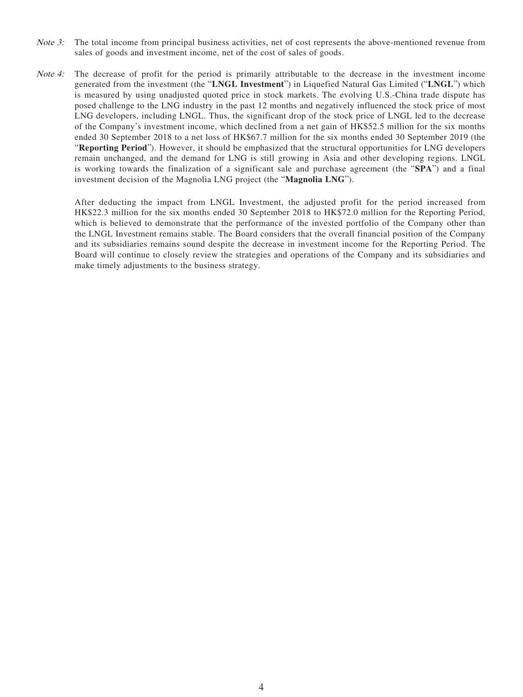- Note 3: The total income from principal business activities, net of cost represents the above-mentioned revenue from sales of goods and investment income, net of the cost of sales of goods.
- Note 4: The decrease of profit for the period is primarily attributable to the decrease in the investment income generated from the investment (the "**LNGL Investment**") in Liquefied Natural Gas Limited ("**LNGL**") which is measured by using unadjusted quoted price in stock markets. The evolving U.S.-China trade dispute has posed challenge to the LNG industry in the past 12 months and negatively influenced the stock price of most LNG developers, including LNGL. Thus, the significant drop of the stock price of LNGL led to the decrease of the Company's investment income, which declined from a net gain of HK\$52.5 million for the six months ended 30 September 2018 to a net loss of HK\$67.7 million for the six months ended 30 September 2019 (the "**Reporting Period**"). However, it should be emphasized that the structural opportunities for LNG developers remain unchanged, and the demand for LNG is still growing in Asia and other developing regions. LNGL is working towards the finalization of a significant sale and purchase agreement (the "**SPA**") and a final investment decision of the Magnolia LNG project (the "**Magnolia LNG**").

After deducting the impact from LNGL Investment, the adjusted profit for the period increased from HK\$22.3 million for the six months ended 30 September 2018 to HK\$72.0 million for the Reporting Period, which is believed to demonstrate that the performance of the invested portfolio of the Company other than the LNGL Investment remains stable. The Board considers that the overall financial position of the Company and its subsidiaries remains sound despite the decrease in investment income for the Reporting Period. The Board will continue to closely review the strategies and operations of the Company and its subsidiaries and make timely adjustments to the business strategy.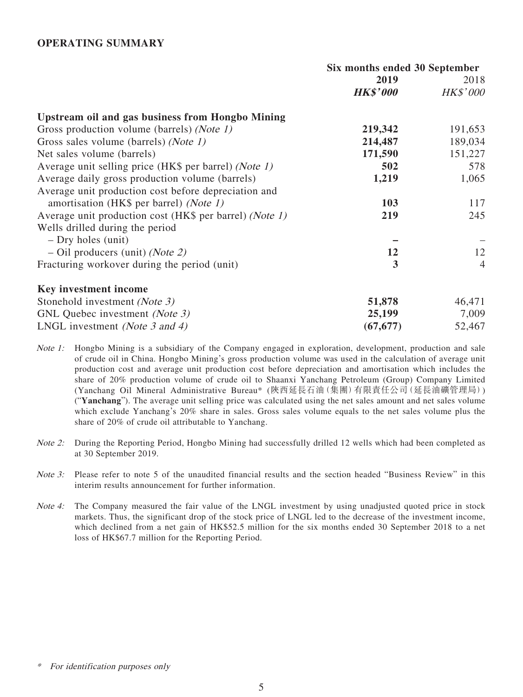#### **OPERATING SUMMARY**

|                                                         | Six months ended 30 September |                 |  |
|---------------------------------------------------------|-------------------------------|-----------------|--|
|                                                         | 2019                          | 2018            |  |
|                                                         | <b>HK\$'000</b>               | <b>HK\$'000</b> |  |
| <b>Upstream oil and gas business from Hongbo Mining</b> |                               |                 |  |
| Gross production volume (barrels) (Note 1)              | 219,342                       | 191,653         |  |
| Gross sales volume (barrels) (Note 1)                   | 214,487                       | 189,034         |  |
| Net sales volume (barrels)                              | 171,590                       | 151,227         |  |
| Average unit selling price (HK\$ per barrel) (Note 1)   | 502                           | 578             |  |
| Average daily gross production volume (barrels)         | 1,219                         | 1,065           |  |
| Average unit production cost before depreciation and    |                               |                 |  |
| amortisation (HK\$ per barrel) (Note 1)                 | 103                           | 117             |  |
| Average unit production cost (HK\$ per barrel) (Note 1) | 219                           | 245             |  |
| Wells drilled during the period                         |                               |                 |  |
| $-$ Dry holes (unit)                                    |                               |                 |  |
| $-$ Oil producers (unit) ( <i>Note 2</i> )              | 12                            | 12              |  |
| Fracturing workover during the period (unit)            | 3                             | $\overline{4}$  |  |
| Key investment income                                   |                               |                 |  |
| Stonehold investment (Note 3)                           | 51,878                        | 46,471          |  |
| GNL Quebec investment (Note 3)                          | 25,199                        | 7,009           |  |
| LNGL investment (Note 3 and 4)                          | (67, 677)                     | 52,467          |  |

Note 1: Hongbo Mining is a subsidiary of the Company engaged in exploration, development, production and sale of crude oil in China. Hongbo Mining's gross production volume was used in the calculation of average unit production cost and average unit production cost before depreciation and amortisation which includes the share of 20% production volume of crude oil to Shaanxi Yanchang Petroleum (Group) Company Limited (Yanchang Oil Mineral Administrative Bureau\* (陝西延長石油(集團)有限責任公司(延長油礦管理局)) ("**Yanchang**"). The average unit selling price was calculated using the net sales amount and net sales volume which exclude Yanchang's 20% share in sales. Gross sales volume equals to the net sales volume plus the share of 20% of crude oil attributable to Yanchang.

- Note 2: During the Reporting Period, Hongbo Mining had successfully drilled 12 wells which had been completed as at 30 September 2019.
- *Note 3:* Please refer to note 5 of the unaudited financial results and the section headed "Business Review" in this interim results announcement for further information.
- Note 4: The Company measured the fair value of the LNGL investment by using unadjusted quoted price in stock markets. Thus, the significant drop of the stock price of LNGL led to the decrease of the investment income, which declined from a net gain of HK\$52.5 million for the six months ended 30 September 2018 to a net loss of HK\$67.7 million for the Reporting Period.

For identification purposes only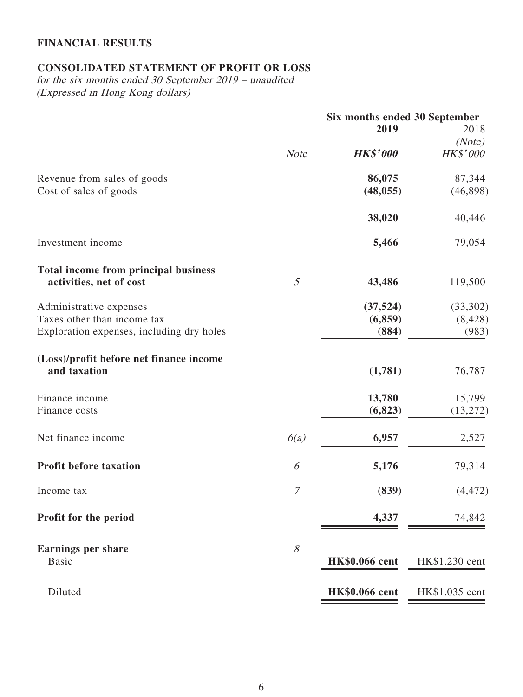# **FINANCIAL RESULTS**

# **CONSOLIDATED STATEMENT OF PROFIT OR LOSS**

for the six months ended 30 September 2019 – unaudited (Expressed in Hong Kong dollars)

|                                                         |                  | Six months ended 30 September |                |
|---------------------------------------------------------|------------------|-------------------------------|----------------|
|                                                         |                  | 2019                          | 2018           |
|                                                         |                  |                               | (Note)         |
|                                                         | <b>Note</b>      | <b>HK\$'000</b>               | HK\$'000       |
| Revenue from sales of goods                             |                  | 86,075                        | 87,344         |
| Cost of sales of goods                                  |                  | (48, 055)                     | (46,898)       |
|                                                         |                  | 38,020                        | 40,446         |
| Investment income                                       |                  | 5,466                         | 79,054         |
| Total income from principal business                    |                  |                               |                |
| activities, net of cost                                 | $\mathfrak{H}$   | 43,486                        | 119,500        |
| Administrative expenses                                 |                  | (37, 524)                     | (33,302)       |
| Taxes other than income tax                             |                  | (6, 859)                      | (8, 428)       |
| Exploration expenses, including dry holes               |                  | (884)                         | (983)          |
| (Loss)/profit before net finance income<br>and taxation |                  | (1,781)                       | 76,787         |
|                                                         |                  |                               |                |
| Finance income                                          |                  | 13,780                        | 15,799         |
| Finance costs                                           |                  | (6, 823)                      | (13, 272)      |
| Net finance income                                      | 6(a)             | 6,957                         | 2,527          |
| <b>Profit before taxation</b>                           | 6                | 5,176                         | 79,314         |
| Income tax                                              | $\boldsymbol{7}$ | (839)                         | (4, 472)       |
| Profit for the period                                   |                  | 4,337                         | 74,842         |
| <b>Earnings per share</b><br><b>Basic</b>               | 8                | <b>HK\$0.066 cent</b>         | HK\$1.230 cent |
| Diluted                                                 |                  | <b>HK\$0.066</b> cent         | HK\$1.035 cent |
|                                                         |                  |                               |                |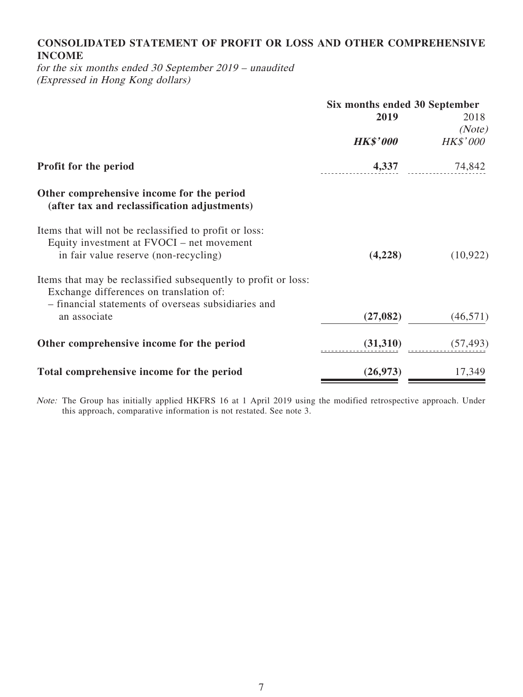# **CONSOLIDATED STATEMENT OF PROFIT OR LOSS AND OTHER COMPREHENSIVE INCOME**

for the six months ended 30 September 2019 – unaudited (Expressed in Hong Kong dollars)

|                                                                                                                                                                  | Six months ended 30 September |                 |  |
|------------------------------------------------------------------------------------------------------------------------------------------------------------------|-------------------------------|-----------------|--|
|                                                                                                                                                                  | 2019                          | 2018            |  |
|                                                                                                                                                                  |                               | (Note)          |  |
|                                                                                                                                                                  | <b>HK\$'000</b>               | <b>HK\$'000</b> |  |
| Profit for the period                                                                                                                                            | 4,337                         | 74,842          |  |
| Other comprehensive income for the period<br>(after tax and reclassification adjustments)                                                                        |                               |                 |  |
| Items that will not be reclassified to profit or loss:<br>Equity investment at FVOCI – net movement                                                              |                               |                 |  |
| in fair value reserve (non-recycling)                                                                                                                            | (4,228)                       | (10, 922)       |  |
| Items that may be reclassified subsequently to profit or loss:<br>Exchange differences on translation of:<br>- financial statements of overseas subsidiaries and |                               |                 |  |
| an associate                                                                                                                                                     | (27, 082)                     | (46, 571)       |  |
| Other comprehensive income for the period                                                                                                                        | (31,310)                      | (57, 493)       |  |
| Total comprehensive income for the period                                                                                                                        | (26, 973)                     | 17,349          |  |

Note: The Group has initially applied HKFRS 16 at 1 April 2019 using the modified retrospective approach. Under this approach, comparative information is not restated. See note 3.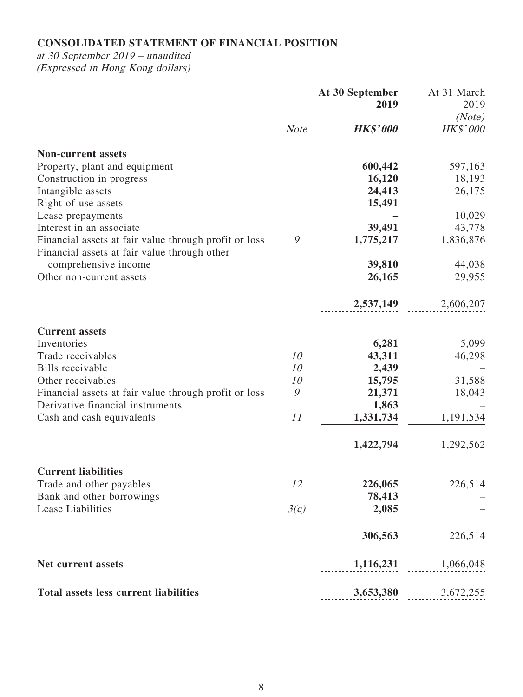# **CONSOLIDATED STATEMENT OF FINANCIAL POSITION**

at 30 September 2019 – unaudited (Expressed in Hong Kong dollars)

|                                                                                                       |               | At 30 September | At 31 March     |
|-------------------------------------------------------------------------------------------------------|---------------|-----------------|-----------------|
|                                                                                                       |               | 2019            | 2019            |
|                                                                                                       |               |                 | (Note)          |
|                                                                                                       | <b>Note</b>   | <b>HK\$'000</b> | <b>HK\$'000</b> |
| <b>Non-current assets</b>                                                                             |               |                 |                 |
| Property, plant and equipment                                                                         |               | 600,442         | 597,163         |
| Construction in progress                                                                              |               | 16,120          | 18,193          |
| Intangible assets                                                                                     |               | 24,413          | 26,175          |
| Right-of-use assets                                                                                   |               | 15,491          |                 |
| Lease prepayments                                                                                     |               |                 | 10,029          |
| Interest in an associate                                                                              |               | 39,491          | 43,778          |
| Financial assets at fair value through profit or loss<br>Financial assets at fair value through other | 9             | 1,775,217       | 1,836,876       |
| comprehensive income                                                                                  |               | 39,810          | 44,038          |
| Other non-current assets                                                                              |               | 26,165          | 29,955          |
|                                                                                                       |               | 2,537,149       | 2,606,207       |
| <b>Current assets</b>                                                                                 |               |                 |                 |
| Inventories                                                                                           |               | 6,281           | 5,099           |
| Trade receivables                                                                                     | 10            | 43,311          | 46,298          |
| Bills receivable                                                                                      | 10            | 2,439           |                 |
| Other receivables                                                                                     | 10            | 15,795          | 31,588          |
| Financial assets at fair value through profit or loss                                                 | $\mathcal{G}$ | 21,371          | 18,043          |
| Derivative financial instruments                                                                      |               | 1,863           |                 |
| Cash and cash equivalents                                                                             | 11            | 1,331,734       | 1,191,534       |
|                                                                                                       |               | 1,422,794       | 1,292,562       |
| <b>Current liabilities</b>                                                                            |               |                 |                 |
| Trade and other payables                                                                              | 12            | 226,065         | 226,514         |
| Bank and other borrowings                                                                             |               | 78,413          |                 |
| Lease Liabilities                                                                                     | 3(c)          | 2,085           |                 |
|                                                                                                       |               | 306,563         | 226,514         |
| <b>Net current assets</b>                                                                             |               | 1,116,231       | 1,066,048       |
| <b>Total assets less current liabilities</b>                                                          |               | 3,653,380       | 3,672,255       |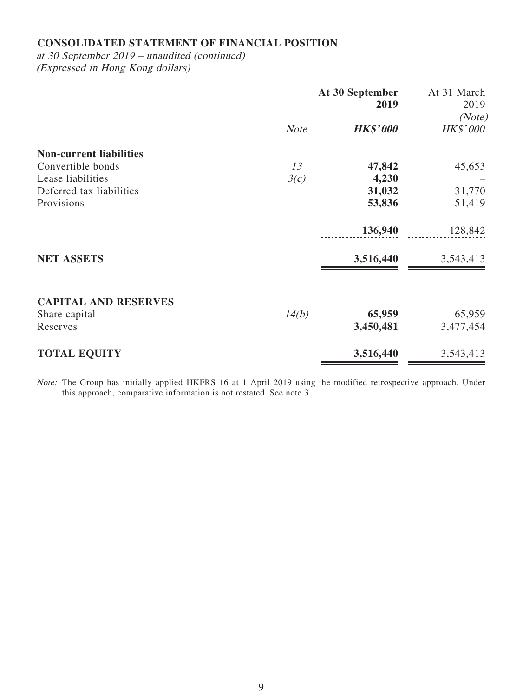# **CONSOLIDATED STATEMENT OF FINANCIAL POSITION**

at 30 September 2019 – unaudited (continued) (Expressed in Hong Kong dollars)

|                                |             | At 30 September<br>2019 | At 31 March<br>2019<br>(Note) |
|--------------------------------|-------------|-------------------------|-------------------------------|
|                                | <b>Note</b> | <b>HK\$'000</b>         | <b>HK\$'000</b>               |
| <b>Non-current liabilities</b> |             |                         |                               |
| Convertible bonds              | 13          | 47,842                  | 45,653                        |
| Lease liabilities              | 3(c)        | 4,230                   |                               |
| Deferred tax liabilities       |             | 31,032                  | 31,770                        |
| Provisions                     |             | 53,836                  | 51,419                        |
|                                |             | 136,940                 | 128,842                       |
| <b>NET ASSETS</b>              |             | 3,516,440               | 3,543,413                     |
| <b>CAPITAL AND RESERVES</b>    |             |                         |                               |
| Share capital                  | 14(b)       | 65,959                  | 65,959                        |
| Reserves                       |             | 3,450,481               | 3,477,454                     |
| <b>TOTAL EQUITY</b>            |             | 3,516,440               | 3,543,413                     |

Note: The Group has initially applied HKFRS 16 at 1 April 2019 using the modified retrospective approach. Under this approach, comparative information is not restated. See note 3.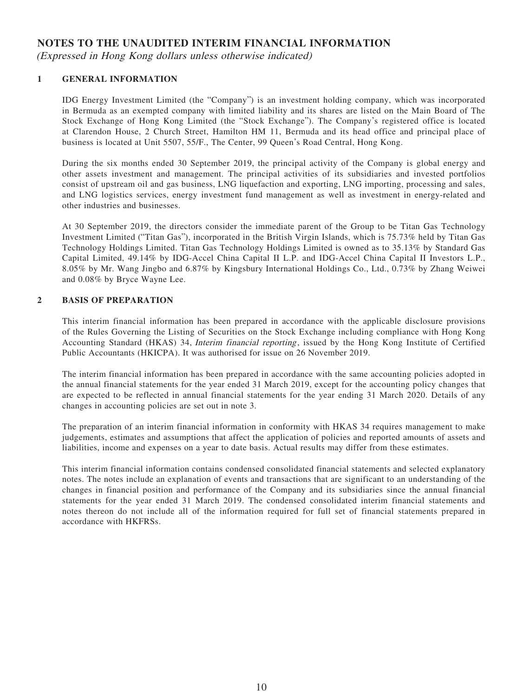### **NOTES TO THE UNAUDITED INTERIM FINANCIAL INFORMATION**

(Expressed in Hong Kong dollars unless otherwise indicated)

#### **1 GENERAL INFORMATION**

IDG Energy Investment Limited (the "Company") is an investment holding company, which was incorporated in Bermuda as an exempted company with limited liability and its shares are listed on the Main Board of The Stock Exchange of Hong Kong Limited (the "Stock Exchange"). The Company's registered office is located at Clarendon House, 2 Church Street, Hamilton HM 11, Bermuda and its head office and principal place of business is located at Unit 5507, 55/F., The Center, 99 Queen's Road Central, Hong Kong.

During the six months ended 30 September 2019, the principal activity of the Company is global energy and other assets investment and management. The principal activities of its subsidiaries and invested portfolios consist of upstream oil and gas business, LNG liquefaction and exporting, LNG importing, processing and sales, and LNG logistics services, energy investment fund management as well as investment in energy-related and other industries and businesses.

At 30 September 2019, the directors consider the immediate parent of the Group to be Titan Gas Technology Investment Limited ("Titan Gas"), incorporated in the British Virgin Islands, which is 75.73% held by Titan Gas Technology Holdings Limited. Titan Gas Technology Holdings Limited is owned as to 35.13% by Standard Gas Capital Limited, 49.14% by IDG-Accel China Capital II L.P. and IDG-Accel China Capital II Investors L.P., 8.05% by Mr. Wang Jingbo and 6.87% by Kingsbury International Holdings Co., Ltd., 0.73% by Zhang Weiwei and 0.08% by Bryce Wayne Lee.

#### **2 BASIS OF PREPARATION**

This interim financial information has been prepared in accordance with the applicable disclosure provisions of the Rules Governing the Listing of Securities on the Stock Exchange including compliance with Hong Kong Accounting Standard (HKAS) 34, Interim financial reporting, issued by the Hong Kong Institute of Certified Public Accountants (HKICPA). It was authorised for issue on 26 November 2019.

The interim financial information has been prepared in accordance with the same accounting policies adopted in the annual financial statements for the year ended 31 March 2019, except for the accounting policy changes that are expected to be reflected in annual financial statements for the year ending 31 March 2020. Details of any changes in accounting policies are set out in note 3.

The preparation of an interim financial information in conformity with HKAS 34 requires management to make judgements, estimates and assumptions that affect the application of policies and reported amounts of assets and liabilities, income and expenses on a year to date basis. Actual results may differ from these estimates.

This interim financial information contains condensed consolidated financial statements and selected explanatory notes. The notes include an explanation of events and transactions that are significant to an understanding of the changes in financial position and performance of the Company and its subsidiaries since the annual financial statements for the year ended 31 March 2019. The condensed consolidated interim financial statements and notes thereon do not include all of the information required for full set of financial statements prepared in accordance with HKFRSs.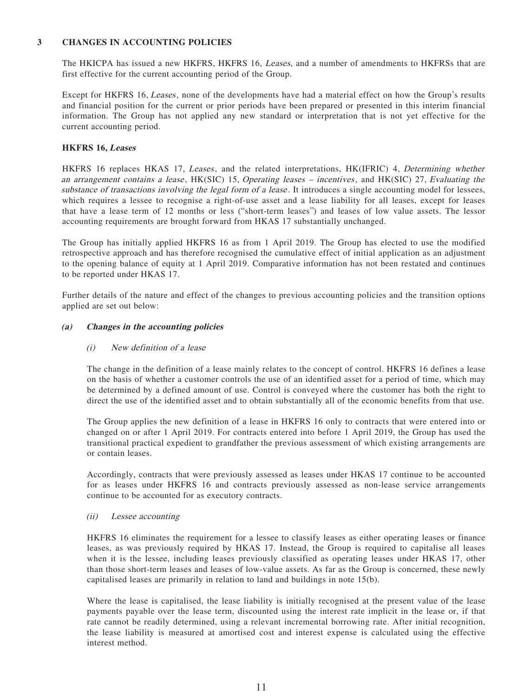#### **3 CHANGES IN ACCOUNTING POLICIES**

The HKICPA has issued a new HKFRS, HKFRS 16, Leases, and a number of amendments to HKFRSs that are first effective for the current accounting period of the Group.

Except for HKFRS 16, Leases, none of the developments have had a material effect on how the Group's results and financial position for the current or prior periods have been prepared or presented in this interim financial information. The Group has not applied any new standard or interpretation that is not yet effective for the current accounting period.

#### **HKFRS 16, Leases**

HKFRS 16 replaces HKAS 17, Leases, and the related interpretations, HK(IFRIC) 4, Determining whether an arrangement contains a lease, HK(SIC) 15, Operating leases – incentives, and HK(SIC) 27, Evaluating the substance of transactions involving the legal form of a lease. It introduces a single accounting model for lessees, which requires a lessee to recognise a right-of-use asset and a lease liability for all leases, except for leases that have a lease term of 12 months or less ("short-term leases") and leases of low value assets. The lessor accounting requirements are brought forward from HKAS 17 substantially unchanged.

The Group has initially applied HKFRS 16 as from 1 April 2019. The Group has elected to use the modified retrospective approach and has therefore recognised the cumulative effect of initial application as an adjustment to the opening balance of equity at 1 April 2019. Comparative information has not been restated and continues to be reported under HKAS 17.

Further details of the nature and effect of the changes to previous accounting policies and the transition options applied are set out below:

#### **(a) Changes in the accounting policies**

#### (i) New definition of a lease

The change in the definition of a lease mainly relates to the concept of control. HKFRS 16 defines a lease on the basis of whether a customer controls the use of an identified asset for a period of time, which may be determined by a defined amount of use. Control is conveyed where the customer has both the right to direct the use of the identified asset and to obtain substantially all of the economic benefits from that use.

The Group applies the new definition of a lease in HKFRS 16 only to contracts that were entered into or changed on or after 1 April 2019. For contracts entered into before 1 April 2019, the Group has used the transitional practical expedient to grandfather the previous assessment of which existing arrangements are or contain leases.

Accordingly, contracts that were previously assessed as leases under HKAS 17 continue to be accounted for as leases under HKFRS 16 and contracts previously assessed as non-lease service arrangements continue to be accounted for as executory contracts.

#### (ii) Lessee accounting

HKFRS 16 eliminates the requirement for a lessee to classify leases as either operating leases or finance leases, as was previously required by HKAS 17. Instead, the Group is required to capitalise all leases when it is the lessee, including leases previously classified as operating leases under HKAS 17, other than those short-term leases and leases of low-value assets. As far as the Group is concerned, these newly capitalised leases are primarily in relation to land and buildings in note 15(b).

Where the lease is capitalised, the lease liability is initially recognised at the present value of the lease payments payable over the lease term, discounted using the interest rate implicit in the lease or, if that rate cannot be readily determined, using a relevant incremental borrowing rate. After initial recognition, the lease liability is measured at amortised cost and interest expense is calculated using the effective interest method.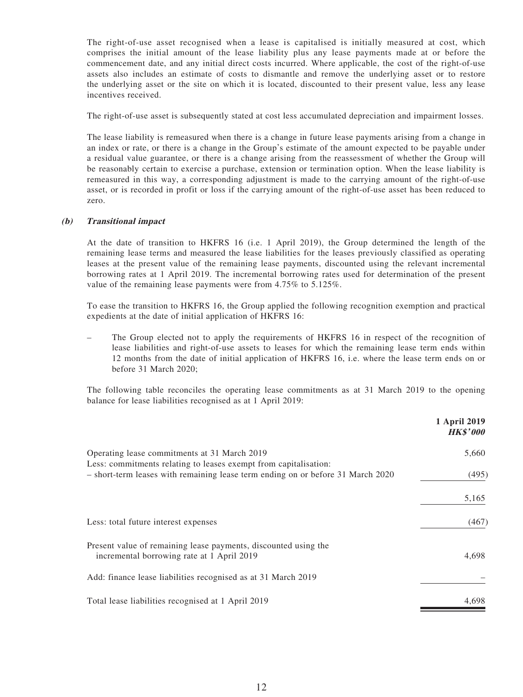The right-of-use asset recognised when a lease is capitalised is initially measured at cost, which comprises the initial amount of the lease liability plus any lease payments made at or before the commencement date, and any initial direct costs incurred. Where applicable, the cost of the right-of-use assets also includes an estimate of costs to dismantle and remove the underlying asset or to restore the underlying asset or the site on which it is located, discounted to their present value, less any lease incentives received.

The right-of-use asset is subsequently stated at cost less accumulated depreciation and impairment losses.

The lease liability is remeasured when there is a change in future lease payments arising from a change in an index or rate, or there is a change in the Group's estimate of the amount expected to be payable under a residual value guarantee, or there is a change arising from the reassessment of whether the Group will be reasonably certain to exercise a purchase, extension or termination option. When the lease liability is remeasured in this way, a corresponding adjustment is made to the carrying amount of the right-of-use asset, or is recorded in profit or loss if the carrying amount of the right-of-use asset has been reduced to zero.

#### **(b) Transitional impact**

At the date of transition to HKFRS 16 (i.e. 1 April 2019), the Group determined the length of the remaining lease terms and measured the lease liabilities for the leases previously classified as operating leases at the present value of the remaining lease payments, discounted using the relevant incremental borrowing rates at 1 April 2019. The incremental borrowing rates used for determination of the present value of the remaining lease payments were from 4.75% to 5.125%.

To ease the transition to HKFRS 16, the Group applied the following recognition exemption and practical expedients at the date of initial application of HKFRS 16:

– The Group elected not to apply the requirements of HKFRS 16 in respect of the recognition of lease liabilities and right-of-use assets to leases for which the remaining lease term ends within 12 months from the date of initial application of HKFRS 16, i.e. where the lease term ends on or before 31 March 2020;

The following table reconciles the operating lease commitments as at 31 March 2019 to the opening balance for lease liabilities recognised as at 1 April 2019:

|                                                                                                                  | 1 April 2019<br><b>HK\$'000</b> |
|------------------------------------------------------------------------------------------------------------------|---------------------------------|
| Operating lease commitments at 31 March 2019<br>Less: commitments relating to leases exempt from capitalisation: | 5,660                           |
| - short-term leases with remaining lease term ending on or before 31 March 2020                                  | (495)                           |
|                                                                                                                  | 5,165                           |
| Less: total future interest expenses                                                                             | (467)                           |
| Present value of remaining lease payments, discounted using the<br>incremental borrowing rate at 1 April 2019    | 4,698                           |
| Add: finance lease liabilities recognised as at 31 March 2019                                                    |                                 |
| Total lease liabilities recognised at 1 April 2019                                                               | 4,698                           |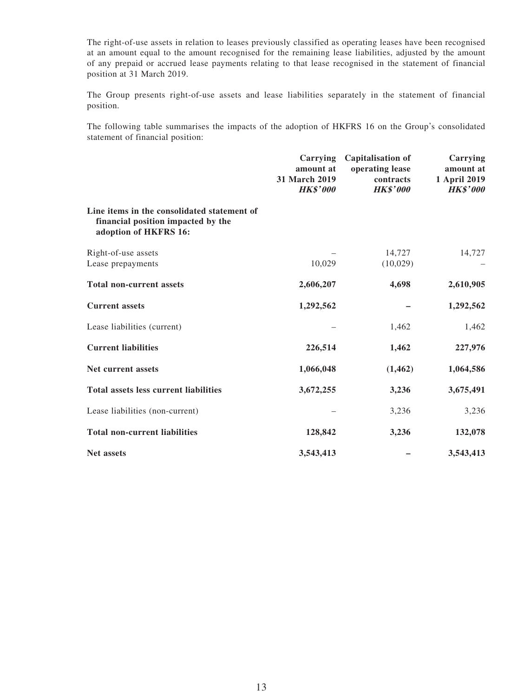The right-of-use assets in relation to leases previously classified as operating leases have been recognised at an amount equal to the amount recognised for the remaining lease liabilities, adjusted by the amount of any prepaid or accrued lease payments relating to that lease recognised in the statement of financial position at 31 March 2019.

The Group presents right-of-use assets and lease liabilities separately in the statement of financial position.

The following table summarises the impacts of the adoption of HKFRS 16 on the Group's consolidated statement of financial position:

|                                                                                                            | Carrying<br>amount at<br>31 March 2019<br><b>HK\$'000</b> | <b>Capitalisation of</b><br>operating lease<br>contracts<br><b>HK\$'000</b> | Carrying<br>amount at<br>1 April 2019<br><b>HK\$'000</b> |
|------------------------------------------------------------------------------------------------------------|-----------------------------------------------------------|-----------------------------------------------------------------------------|----------------------------------------------------------|
| Line items in the consolidated statement of<br>financial position impacted by the<br>adoption of HKFRS 16: |                                                           |                                                                             |                                                          |
| Right-of-use assets                                                                                        |                                                           | 14,727                                                                      | 14,727                                                   |
| Lease prepayments                                                                                          | 10,029                                                    | (10,029)                                                                    |                                                          |
| <b>Total non-current assets</b>                                                                            | 2,606,207                                                 | 4,698                                                                       | 2,610,905                                                |
| <b>Current assets</b>                                                                                      | 1,292,562                                                 |                                                                             | 1,292,562                                                |
| Lease liabilities (current)                                                                                |                                                           | 1,462                                                                       | 1,462                                                    |
| <b>Current liabilities</b>                                                                                 | 226,514                                                   | 1,462                                                                       | 227,976                                                  |
| Net current assets                                                                                         | 1,066,048                                                 | (1, 462)                                                                    | 1,064,586                                                |
| <b>Total assets less current liabilities</b>                                                               | 3,672,255                                                 | 3,236                                                                       | 3,675,491                                                |
| Lease liabilities (non-current)                                                                            |                                                           | 3,236                                                                       | 3,236                                                    |
| <b>Total non-current liabilities</b>                                                                       | 128,842                                                   | 3,236                                                                       | 132,078                                                  |
| <b>Net assets</b>                                                                                          | 3,543,413                                                 |                                                                             | 3,543,413                                                |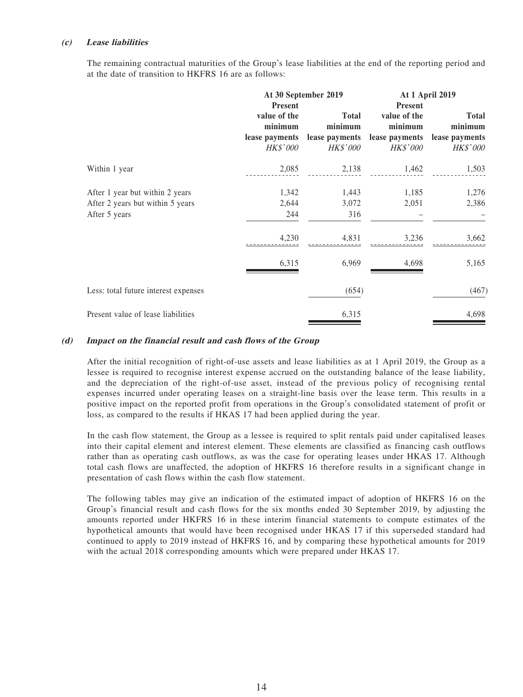#### **(c) Lease liabilities**

The remaining contractual maturities of the Group's lease liabilities at the end of the reporting period and at the date of transition to HKFRS 16 are as follows:

|                                                                                      | At 30 September 2019                                                           |                                                              | <b>At 1 April 2019</b>                                       |                                                                             |
|--------------------------------------------------------------------------------------|--------------------------------------------------------------------------------|--------------------------------------------------------------|--------------------------------------------------------------|-----------------------------------------------------------------------------|
|                                                                                      | <b>Present</b><br>value of the<br>minimum<br>lease payments<br><i>HK\$'000</i> | <b>Total</b><br>minimum<br>lease payments<br><b>HK\$'000</b> | <b>Present</b><br>value of the<br>minimum<br><i>HK\$'000</i> | <b>Total</b><br>minimum<br>lease payments lease payments<br><b>HK\$'000</b> |
| Within 1 year                                                                        | 2,085                                                                          | 2,138                                                        | 1,462                                                        | 1,503                                                                       |
| After 1 year but within 2 years<br>After 2 years but within 5 years<br>After 5 years | 1,342<br>2,644<br>244                                                          | 1,443<br>3,072<br>316                                        | 1,185<br>2,051                                               | 1,276<br>2,386                                                              |
|                                                                                      | 4,230                                                                          | 4,831                                                        | 3,236                                                        | 3,662                                                                       |
|                                                                                      | 6,315                                                                          | 6,969                                                        | 4,698                                                        | 5,165                                                                       |
| Less: total future interest expenses                                                 |                                                                                | (654)                                                        |                                                              | (467)                                                                       |
| Present value of lease liabilities                                                   |                                                                                | 6,315                                                        |                                                              | 4,698                                                                       |

#### **(d) Impact on the financial result and cash flows of the Group**

After the initial recognition of right-of-use assets and lease liabilities as at 1 April 2019, the Group as a lessee is required to recognise interest expense accrued on the outstanding balance of the lease liability, and the depreciation of the right-of-use asset, instead of the previous policy of recognising rental expenses incurred under operating leases on a straight-line basis over the lease term. This results in a positive impact on the reported profit from operations in the Group's consolidated statement of profit or loss, as compared to the results if HKAS 17 had been applied during the year.

In the cash flow statement, the Group as a lessee is required to split rentals paid under capitalised leases into their capital element and interest element. These elements are classified as financing cash outflows rather than as operating cash outflows, as was the case for operating leases under HKAS 17. Although total cash flows are unaffected, the adoption of HKFRS 16 therefore results in a significant change in presentation of cash flows within the cash flow statement.

The following tables may give an indication of the estimated impact of adoption of HKFRS 16 on the Group's financial result and cash flows for the six months ended 30 September 2019, by adjusting the amounts reported under HKFRS 16 in these interim financial statements to compute estimates of the hypothetical amounts that would have been recognised under HKAS 17 if this superseded standard had continued to apply to 2019 instead of HKFRS 16, and by comparing these hypothetical amounts for 2019 with the actual 2018 corresponding amounts which were prepared under HKAS 17.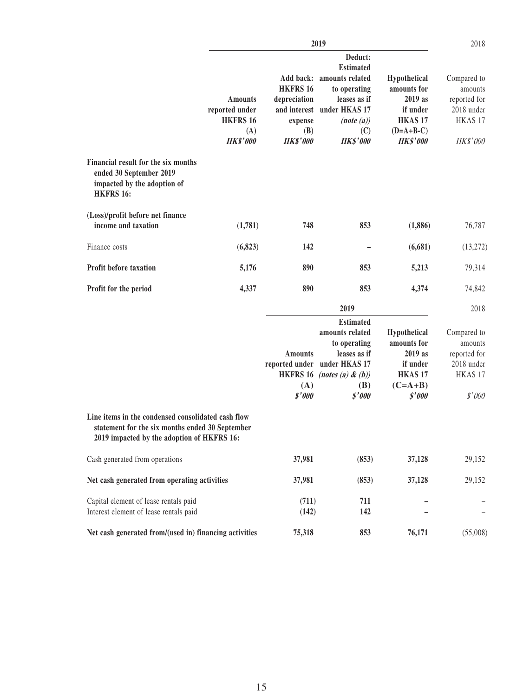|                                                                                                                                                     |                                                                               |                                                                                   | 2019                                                                                                                                                |                                                                                                            | 2018                                                                                 |
|-----------------------------------------------------------------------------------------------------------------------------------------------------|-------------------------------------------------------------------------------|-----------------------------------------------------------------------------------|-----------------------------------------------------------------------------------------------------------------------------------------------------|------------------------------------------------------------------------------------------------------------|--------------------------------------------------------------------------------------|
|                                                                                                                                                     | <b>Amounts</b><br>reported under<br><b>HKFRS 16</b><br>(A)<br><b>HK\$'000</b> | Add back:<br><b>HKFRS 16</b><br>depreciation<br>expense<br>(B)<br><b>HK\$'000</b> | Deduct:<br><b>Estimated</b><br>amounts related<br>to operating<br>leases as if<br>and interest under HKAS 17<br>(note(a))<br>(C)<br><b>HK\$'000</b> | Hypothetical<br>amounts for<br>2019 as<br>if under<br>HKAS <sub>17</sub><br>$(D=A+B-C)$<br><b>HK\$'000</b> | Compared to<br>amounts<br>reported for<br>2018 under<br>HKAS 17<br>HK\$'000          |
| Financial result for the six months<br>ended 30 September 2019<br>impacted by the adoption of<br><b>HKFRS 16:</b>                                   |                                                                               |                                                                                   |                                                                                                                                                     |                                                                                                            |                                                                                      |
| (Loss)/profit before net finance<br>income and taxation                                                                                             | (1,781)                                                                       | 748                                                                               | 853                                                                                                                                                 | (1,886)                                                                                                    | 76,787                                                                               |
| Finance costs                                                                                                                                       | (6, 823)                                                                      | 142                                                                               |                                                                                                                                                     | (6,681)                                                                                                    | (13,272)                                                                             |
| Profit before taxation                                                                                                                              | 5,176                                                                         | 890                                                                               | 853                                                                                                                                                 | 5,213                                                                                                      | 79,314                                                                               |
| Profit for the period                                                                                                                               | 4,337                                                                         | 890                                                                               | 853                                                                                                                                                 | 4,374                                                                                                      | 74,842                                                                               |
|                                                                                                                                                     |                                                                               |                                                                                   | 2019                                                                                                                                                |                                                                                                            | 2018                                                                                 |
|                                                                                                                                                     |                                                                               | <b>Amounts</b><br>reported under<br><b>HKFRS 16</b><br>(A)<br>\$'000              | <b>Estimated</b><br>amounts related<br>to operating<br>leases as if<br>under HKAS 17<br>(notes (a) & (b))<br>(B)<br>\$'000                          | Hypothetical<br>amounts for<br>2019 as<br>if under<br><b>HKAS 17</b><br>$(C=A+B)$<br>\$'000                | Compared to<br>amounts<br>reported for<br>2018 under<br>HKAS <sub>17</sub><br>\$'000 |
| Line items in the condensed consolidated cash flow<br>statement for the six months ended 30 September<br>2019 impacted by the adoption of HKFRS 16: |                                                                               |                                                                                   |                                                                                                                                                     |                                                                                                            |                                                                                      |
| Cash generated from operations                                                                                                                      |                                                                               | 37,981                                                                            | (853)                                                                                                                                               | 37,128                                                                                                     | 29,152                                                                               |
| Net cash generated from operating activities                                                                                                        |                                                                               | 37,981                                                                            | (853)                                                                                                                                               | 37,128                                                                                                     | 29,152                                                                               |
| Capital element of lease rentals paid<br>Interest element of lease rentals paid                                                                     |                                                                               | (711)<br>(142)                                                                    | 711<br>142                                                                                                                                          |                                                                                                            |                                                                                      |
| Net cash generated from/(used in) financing activities                                                                                              |                                                                               | 75,318                                                                            | 853                                                                                                                                                 | 76,171                                                                                                     | (55,008)                                                                             |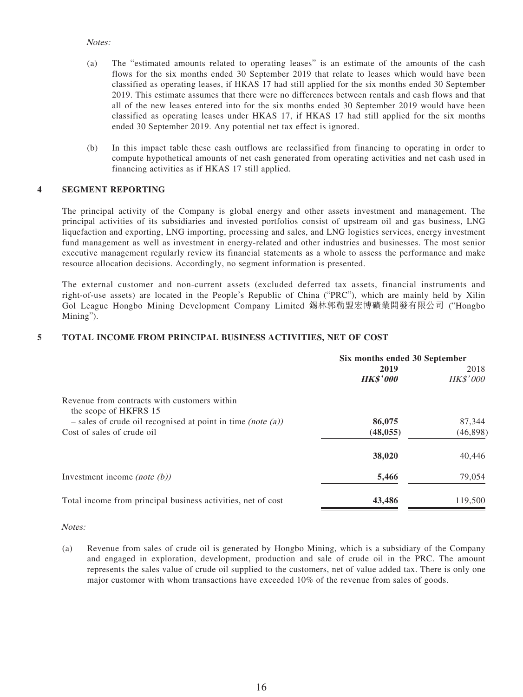#### Notes:

- (a) The "estimated amounts related to operating leases" is an estimate of the amounts of the cash flows for the six months ended 30 September 2019 that relate to leases which would have been classified as operating leases, if HKAS 17 had still applied for the six months ended 30 September 2019. This estimate assumes that there were no differences between rentals and cash flows and that all of the new leases entered into for the six months ended 30 September 2019 would have been classified as operating leases under HKAS 17, if HKAS 17 had still applied for the six months ended 30 September 2019. Any potential net tax effect is ignored.
- (b) In this impact table these cash outflows are reclassified from financing to operating in order to compute hypothetical amounts of net cash generated from operating activities and net cash used in financing activities as if HKAS 17 still applied.

#### **4 SEGMENT REPORTING**

The principal activity of the Company is global energy and other assets investment and management. The principal activities of its subsidiaries and invested portfolios consist of upstream oil and gas business, LNG liquefaction and exporting, LNG importing, processing and sales, and LNG logistics services, energy investment fund management as well as investment in energy-related and other industries and businesses. The most senior executive management regularly review its financial statements as a whole to assess the performance and make resource allocation decisions. Accordingly, no segment information is presented.

The external customer and non-current assets (excluded deferred tax assets, financial instruments and right-of-use assets) are located in the People's Republic of China ("PRC"), which are mainly held by Xilin Gol League Hongbo Mining Development Company Limited 錫林郭勒盟宏博礦業開發有限公司 ("Hongbo Mining").

#### **5 TOTAL INCOME FROM PRINCIPAL BUSINESS ACTIVITIES, NET OF COST**

|                                                                       | Six months ended 30 September |                         |  |
|-----------------------------------------------------------------------|-------------------------------|-------------------------|--|
|                                                                       | 2019<br><b>HK\$'000</b>       | 2018<br><b>HK\$'000</b> |  |
| Revenue from contracts with customers within<br>the scope of HKFRS 15 |                               |                         |  |
| $-$ sales of crude oil recognised at point in time (note (a))         | 86,075                        | 87,344                  |  |
| Cost of sales of crude oil                                            | (48, 055)                     | (46, 898)               |  |
|                                                                       | 38,020                        | 40,446                  |  |
| Investment income (note $(b)$ )                                       | 5,466                         | 79,054                  |  |
| Total income from principal business activities, net of cost          | 43,486                        | 119,500                 |  |

#### Notes:

(a) Revenue from sales of crude oil is generated by Hongbo Mining, which is a subsidiary of the Company and engaged in exploration, development, production and sale of crude oil in the PRC. The amount represents the sales value of crude oil supplied to the customers, net of value added tax. There is only one major customer with whom transactions have exceeded 10% of the revenue from sales of goods.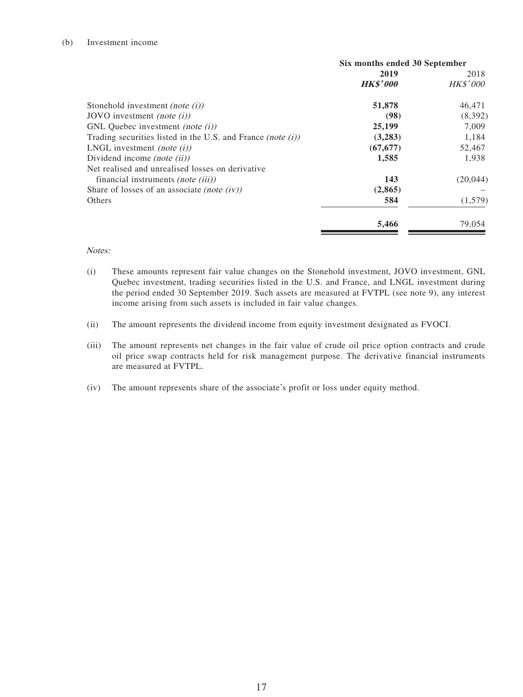#### (b) Investment income

|                                                                | Six months ended 30 September |                 |
|----------------------------------------------------------------|-------------------------------|-----------------|
|                                                                | 2019                          | 2018            |
|                                                                | <b>HK\$'000</b>               | <i>HK\$'000</i> |
| Stonehold investment <i>(note (i))</i>                         | 51,878                        | 46,471          |
| JOVO investment <i>(note (i))</i>                              | (98)                          | (8,392)         |
| GNL Quebec investment <i>(note (i))</i>                        | 25,199                        | 7.009           |
| Trading securities listed in the U.S. and France (note $(i)$ ) | (3,283)                       | 1,184           |
| LNGL investment <i>(note (i))</i>                              | (67, 677)                     | 52,467          |
| Dividend income <i>(note (ii)</i> )                            | 1,585                         | 1,938           |
| Net realised and unrealised losses on derivative               |                               |                 |
| financial instruments <i>(note (iii))</i>                      | 143                           | (20, 044)       |
| Share of losses of an associate <i>(note (iv))</i>             | (2, 865)                      |                 |
| Others                                                         | 584                           | (1,579)         |
|                                                                | 5,466                         | 79,054          |

#### Notes:

- (i) These amounts represent fair value changes on the Stonehold investment, JOVO investment, GNL Quebec investment, trading securities listed in the U.S. and France, and LNGL investment during the period ended 30 September 2019. Such assets are measured at FVTPL (see note 9), any interest income arising from such assets is included in fair value changes.
- (ii) The amount represents the dividend income from equity investment designated as FVOCI.
- (iii) The amount represents net changes in the fair value of crude oil price option contracts and crude oil price swap contracts held for risk management purpose. The derivative financial instruments are measured at FVTPL.
- (iv) The amount represents share of the associate's profit or loss under equity method.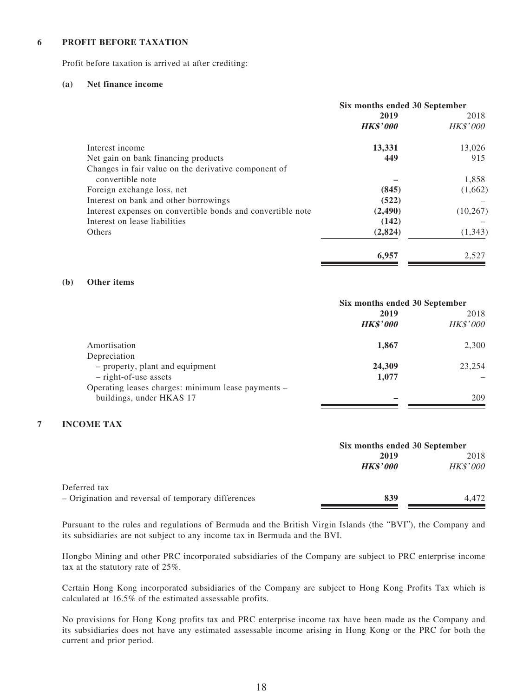#### **6 PROFIT BEFORE TAXATION**

Profit before taxation is arrived at after crediting:

#### **(a) Net finance income**

|                                                             | Six months ended 30 September |                 |
|-------------------------------------------------------------|-------------------------------|-----------------|
|                                                             | 2019                          | 2018            |
|                                                             | <b>HK\$'000</b>               | <b>HK\$'000</b> |
| Interest income                                             | 13,331                        | 13,026          |
| Net gain on bank financing products                         | 449                           | 915             |
| Changes in fair value on the derivative component of        |                               |                 |
| convertible note                                            |                               | 1,858           |
| Foreign exchange loss, net                                  | (845)                         | (1,662)         |
| Interest on bank and other borrowings                       | (522)                         |                 |
| Interest expenses on convertible bonds and convertible note | (2,490)                       | (10, 267)       |
| Interest on lease liabilities                               | (142)                         |                 |
| Others                                                      | (2,824)                       | (1, 343)        |
|                                                             | 6,957                         | 2,527           |

#### **(b) Other items**

|                                                    | Six months ended 30 September |                 |
|----------------------------------------------------|-------------------------------|-----------------|
|                                                    | 2019                          | 2018            |
|                                                    | <b>HK\$'000</b>               | <b>HK\$'000</b> |
| Amortisation                                       | 1,867                         | 2,300           |
| Depreciation                                       |                               |                 |
| - property, plant and equipment                    | 24,309                        | 23,254          |
| $-$ right-of-use assets                            | 1,077                         |                 |
| Operating leases charges: minimum lease payments - |                               |                 |
| buildings, under HKAS 17                           |                               | 209             |

#### **7 INCOME TAX**

|                                                     |                 | Six months ended 30 September |  |
|-----------------------------------------------------|-----------------|-------------------------------|--|
|                                                     | 2019            | 2018                          |  |
|                                                     | <b>HK\$'000</b> | <b>HK\$'000</b>               |  |
| Deferred tax                                        |                 |                               |  |
| - Origination and reversal of temporary differences | 839             | 4.472                         |  |

Pursuant to the rules and regulations of Bermuda and the British Virgin Islands (the "BVI"), the Company and its subsidiaries are not subject to any income tax in Bermuda and the BVI.

Hongbo Mining and other PRC incorporated subsidiaries of the Company are subject to PRC enterprise income tax at the statutory rate of 25%.

Certain Hong Kong incorporated subsidiaries of the Company are subject to Hong Kong Profits Tax which is calculated at 16.5% of the estimated assessable profits.

No provisions for Hong Kong profits tax and PRC enterprise income tax have been made as the Company and its subsidiaries does not have any estimated assessable income arising in Hong Kong or the PRC for both the current and prior period.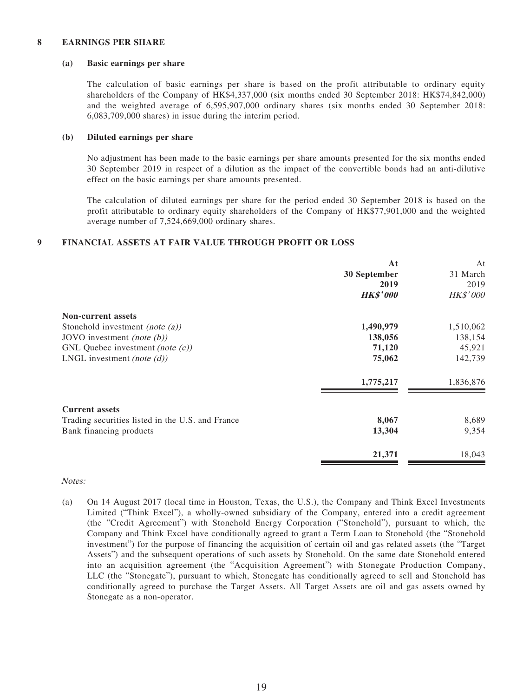#### **8 EARNINGS PER SHARE**

#### **(a) Basic earnings per share**

The calculation of basic earnings per share is based on the profit attributable to ordinary equity shareholders of the Company of HK\$4,337,000 (six months ended 30 September 2018: HK\$74,842,000) and the weighted average of 6,595,907,000 ordinary shares (six months ended 30 September 2018: 6,083,709,000 shares) in issue during the interim period.

#### **(b) Diluted earnings per share**

No adjustment has been made to the basic earnings per share amounts presented for the six months ended 30 September 2019 in respect of a dilution as the impact of the convertible bonds had an anti-dilutive effect on the basic earnings per share amounts presented.

The calculation of diluted earnings per share for the period ended 30 September 2018 is based on the profit attributable to ordinary equity shareholders of the Company of HK\$77,901,000 and the weighted average number of 7,524,669,000 ordinary shares.

#### **9 FINANCIAL ASSETS AT FAIR VALUE THROUGH PROFIT OR LOSS**

|                                                  | At              | At              |
|--------------------------------------------------|-----------------|-----------------|
|                                                  | 30 September    | 31 March        |
|                                                  | 2019            | 2019            |
|                                                  | <b>HK\$'000</b> | <b>HK\$'000</b> |
| <b>Non-current assets</b>                        |                 |                 |
| Stonehold investment (note $(a)$ )               | 1,490,979       | 1,510,062       |
| JOVO investment <i>(note <math>(b)</math>)</i>   | 138,056         | 138,154         |
| GNL Quebec investment (note $(c)$ )              | 71,120          | 45,921          |
| LNGL investment (note $(d)$ )                    | 75,062          | 142,739         |
|                                                  | 1,775,217       | 1,836,876       |
| <b>Current assets</b>                            |                 |                 |
| Trading securities listed in the U.S. and France | 8,067           | 8,689           |
| Bank financing products                          | 13,304          | 9,354           |
|                                                  | 21,371          | 18,043          |
|                                                  |                 |                 |

#### Notes:

(a) On 14 August 2017 (local time in Houston, Texas, the U.S.), the Company and Think Excel Investments Limited ("Think Excel"), a wholly-owned subsidiary of the Company, entered into a credit agreement (the "Credit Agreement") with Stonehold Energy Corporation ("Stonehold"), pursuant to which, the Company and Think Excel have conditionally agreed to grant a Term Loan to Stonehold (the "Stonehold investment") for the purpose of financing the acquisition of certain oil and gas related assets (the "Target Assets") and the subsequent operations of such assets by Stonehold. On the same date Stonehold entered into an acquisition agreement (the "Acquisition Agreement") with Stonegate Production Company, LLC (the "Stonegate"), pursuant to which, Stonegate has conditionally agreed to sell and Stonehold has conditionally agreed to purchase the Target Assets. All Target Assets are oil and gas assets owned by Stonegate as a non-operator.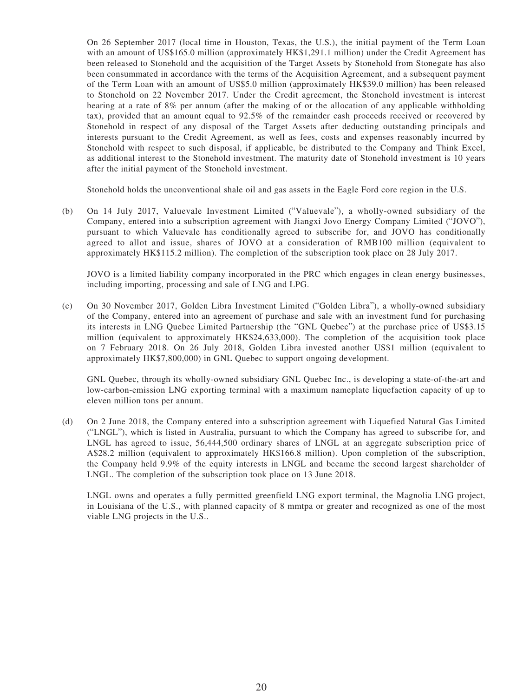On 26 September 2017 (local time in Houston, Texas, the U.S.), the initial payment of the Term Loan with an amount of US\$165.0 million (approximately HK\$1,291.1 million) under the Credit Agreement has been released to Stonehold and the acquisition of the Target Assets by Stonehold from Stonegate has also been consummated in accordance with the terms of the Acquisition Agreement, and a subsequent payment of the Term Loan with an amount of US\$5.0 million (approximately HK\$39.0 million) has been released to Stonehold on 22 November 2017. Under the Credit agreement, the Stonehold investment is interest bearing at a rate of 8% per annum (after the making of or the allocation of any applicable withholding tax), provided that an amount equal to 92.5% of the remainder cash proceeds received or recovered by Stonehold in respect of any disposal of the Target Assets after deducting outstanding principals and interests pursuant to the Credit Agreement, as well as fees, costs and expenses reasonably incurred by Stonehold with respect to such disposal, if applicable, be distributed to the Company and Think Excel, as additional interest to the Stonehold investment. The maturity date of Stonehold investment is 10 years after the initial payment of the Stonehold investment.

Stonehold holds the unconventional shale oil and gas assets in the Eagle Ford core region in the U.S.

(b) On 14 July 2017, Valuevale Investment Limited ("Valuevale"), a wholly-owned subsidiary of the Company, entered into a subscription agreement with Jiangxi Jovo Energy Company Limited ("JOVO"), pursuant to which Valuevale has conditionally agreed to subscribe for, and JOVO has conditionally agreed to allot and issue, shares of JOVO at a consideration of RMB100 million (equivalent to approximately HK\$115.2 million). The completion of the subscription took place on 28 July 2017.

JOVO is a limited liability company incorporated in the PRC which engages in clean energy businesses, including importing, processing and sale of LNG and LPG.

(c) On 30 November 2017, Golden Libra Investment Limited ("Golden Libra"), a wholly-owned subsidiary of the Company, entered into an agreement of purchase and sale with an investment fund for purchasing its interests in LNG Quebec Limited Partnership (the "GNL Quebec") at the purchase price of US\$3.15 million (equivalent to approximately HK\$24,633,000). The completion of the acquisition took place on 7 February 2018. On 26 July 2018, Golden Libra invested another US\$1 million (equivalent to approximately HK\$7,800,000) in GNL Quebec to support ongoing development.

GNL Quebec, through its wholly-owned subsidiary GNL Quebec Inc., is developing a state-of-the-art and low-carbon-emission LNG exporting terminal with a maximum nameplate liquefaction capacity of up to eleven million tons per annum.

(d) On 2 June 2018, the Company entered into a subscription agreement with Liquefied Natural Gas Limited ("LNGL"), which is listed in Australia, pursuant to which the Company has agreed to subscribe for, and LNGL has agreed to issue, 56,444,500 ordinary shares of LNGL at an aggregate subscription price of A\$28.2 million (equivalent to approximately HK\$166.8 million). Upon completion of the subscription, the Company held 9.9% of the equity interests in LNGL and became the second largest shareholder of LNGL. The completion of the subscription took place on 13 June 2018.

LNGL owns and operates a fully permitted greenfield LNG export terminal, the Magnolia LNG project, in Louisiana of the U.S., with planned capacity of 8 mmtpa or greater and recognized as one of the most viable LNG projects in the U.S..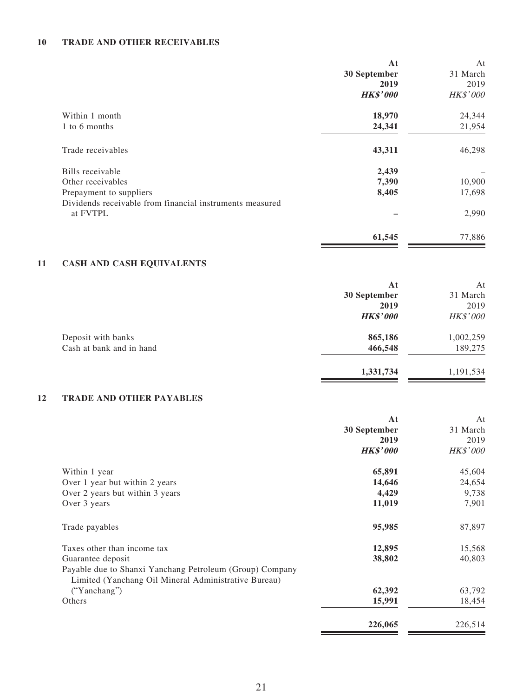#### **10 TRADE AND OTHER RECEIVABLES**

|    |                                                                                                                  | At<br>30 September<br>2019<br><b>HK\$'000</b> | At<br>31 March<br>2019<br>HK\$'000 |
|----|------------------------------------------------------------------------------------------------------------------|-----------------------------------------------|------------------------------------|
|    | Within 1 month                                                                                                   | 18,970                                        | 24,344                             |
|    | 1 to 6 months                                                                                                    | 24,341                                        | 21,954                             |
|    | Trade receivables                                                                                                | 43,311                                        | 46,298                             |
|    | Bills receivable                                                                                                 | 2,439                                         |                                    |
|    | Other receivables                                                                                                | 7,390                                         | 10,900                             |
|    | Prepayment to suppliers                                                                                          | 8,405                                         | 17,698                             |
|    | Dividends receivable from financial instruments measured<br>at FVTPL                                             |                                               | 2,990                              |
|    |                                                                                                                  | 61,545                                        | 77,886                             |
| 11 | <b>CASH AND CASH EQUIVALENTS</b>                                                                                 |                                               |                                    |
|    |                                                                                                                  | At                                            | At                                 |
|    |                                                                                                                  | 30 September                                  | 31 March                           |
|    |                                                                                                                  | 2019                                          | 2019                               |
|    |                                                                                                                  | <b>HK\$'000</b>                               | HK\$'000                           |
|    | Deposit with banks                                                                                               | 865,186                                       | 1,002,259                          |
|    | Cash at bank and in hand                                                                                         | 466,548                                       | 189,275                            |
|    |                                                                                                                  | 1,331,734                                     | 1,191,534                          |
| 12 | <b>TRADE AND OTHER PAYABLES</b>                                                                                  |                                               |                                    |
|    |                                                                                                                  | At                                            | At                                 |
|    |                                                                                                                  | 30 September                                  | 31 March                           |
|    |                                                                                                                  | 2019                                          | 2019                               |
|    |                                                                                                                  | <b>HK\$'000</b>                               | HK\$'000                           |
|    | Within 1 year                                                                                                    | 65,891                                        | 45,604                             |
|    | Over 1 year but within 2 years                                                                                   | 14,646                                        | 24,654                             |
|    | Over 2 years but within 3 years                                                                                  | 4,429                                         | 9,738                              |
|    | Over 3 years                                                                                                     | 11,019                                        | 7,901                              |
|    | Trade payables                                                                                                   | 95,985                                        | 87,897                             |
|    | Taxes other than income tax                                                                                      | 12,895                                        | 15,568                             |
|    | Guarantee deposit                                                                                                | 38,802                                        | 40,803                             |
|    | Payable due to Shanxi Yanchang Petroleum (Group) Company<br>Limited (Yanchang Oil Mineral Administrative Bureau) |                                               |                                    |
|    | ("Yanchang")                                                                                                     | 62,392                                        | 63,792                             |
|    | Others                                                                                                           | 15,991                                        | 18,454                             |

**226,065** 226,514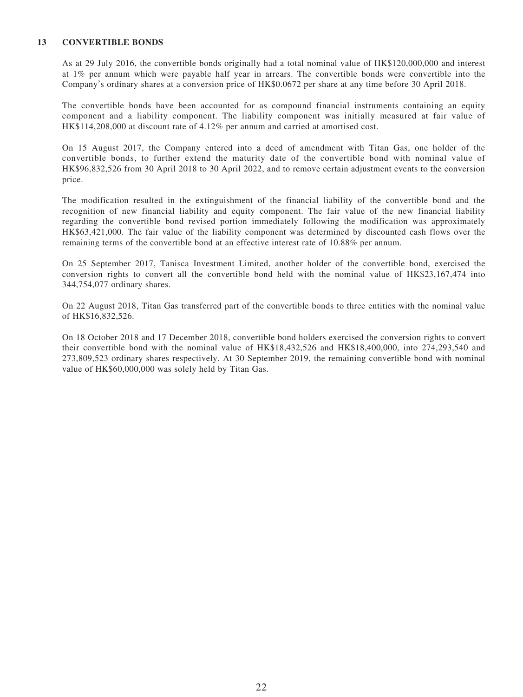#### **13 CONVERTIBLE BONDS**

As at 29 July 2016, the convertible bonds originally had a total nominal value of HK\$120,000,000 and interest at 1% per annum which were payable half year in arrears. The convertible bonds were convertible into the Company's ordinary shares at a conversion price of HK\$0.0672 per share at any time before 30 April 2018.

The convertible bonds have been accounted for as compound financial instruments containing an equity component and a liability component. The liability component was initially measured at fair value of HK\$114,208,000 at discount rate of 4.12% per annum and carried at amortised cost.

On 15 August 2017, the Company entered into a deed of amendment with Titan Gas, one holder of the convertible bonds, to further extend the maturity date of the convertible bond with nominal value of HK\$96,832,526 from 30 April 2018 to 30 April 2022, and to remove certain adjustment events to the conversion price.

The modification resulted in the extinguishment of the financial liability of the convertible bond and the recognition of new financial liability and equity component. The fair value of the new financial liability regarding the convertible bond revised portion immediately following the modification was approximately HK\$63,421,000. The fair value of the liability component was determined by discounted cash flows over the remaining terms of the convertible bond at an effective interest rate of 10.88% per annum.

On 25 September 2017, Tanisca Investment Limited, another holder of the convertible bond, exercised the conversion rights to convert all the convertible bond held with the nominal value of HK\$23,167,474 into 344,754,077 ordinary shares.

On 22 August 2018, Titan Gas transferred part of the convertible bonds to three entities with the nominal value of HK\$16,832,526.

On 18 October 2018 and 17 December 2018, convertible bond holders exercised the conversion rights to convert their convertible bond with the nominal value of HK\$18,432,526 and HK\$18,400,000, into 274,293,540 and 273,809,523 ordinary shares respectively. At 30 September 2019, the remaining convertible bond with nominal value of HK\$60,000,000 was solely held by Titan Gas.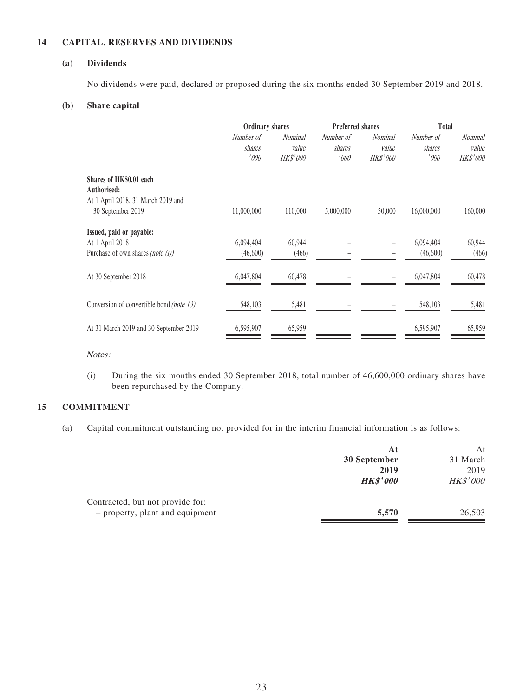#### **14 CAPITAL, RESERVES AND DIVIDENDS**

#### **(a) Dividends**

No dividends were paid, declared or proposed during the six months ended 30 September 2019 and 2018.

#### **(b) Share capital**

|                                                                                                   | <b>Ordinary shares</b>       |                                            | <b>Preferred shares</b>     |                                     | <b>Total</b>                 |                              |
|---------------------------------------------------------------------------------------------------|------------------------------|--------------------------------------------|-----------------------------|-------------------------------------|------------------------------|------------------------------|
|                                                                                                   | Number of<br>shares<br>'000' | <i>Nominal</i><br>value<br><b>HK\$'000</b> | Number of<br>shares<br>'000 | <i>Nominal</i><br>value<br>HK\$'000 | Number of<br>shares<br>'000' | Nominal<br>value<br>HK\$'000 |
| Shares of HK\$0.01 each<br>Authorised:<br>At 1 April 2018, 31 March 2019 and<br>30 September 2019 | 11,000,000                   | 110,000                                    | 5,000,000                   | 50,000                              | 16,000,000                   | 160,000                      |
| Issued, paid or payable:<br>At 1 April 2018<br>Purchase of own shares (note $(i)$ )               | 6,094,404<br>(46,600)        | 60,944<br>(466)                            |                             |                                     | 6,094,404<br>(46,600)        | 60,944<br>(466)              |
| At 30 September 2018                                                                              | 6,047,804                    | 60,478                                     |                             |                                     | 6,047,804                    | 60,478                       |
| Conversion of convertible bond <i>(note 13)</i>                                                   | 548,103                      | 5,481                                      |                             |                                     | 548,103                      | 5,481                        |
| At 31 March 2019 and 30 September 2019                                                            | 6,595,907                    | 65,959                                     |                             |                                     | 6,595,907                    | 65,959                       |

Notes:

(i) During the six months ended 30 September 2018, total number of 46,600,000 ordinary shares have been repurchased by the Company.

#### **15 COMMITMENT**

(a) Capital commitment outstanding not provided for in the interim financial information is as follows:

|                                  | Αt              | At              |
|----------------------------------|-----------------|-----------------|
|                                  | 30 September    | 31 March        |
|                                  | 2019            | 2019            |
|                                  | <b>HK\$'000</b> | <b>HK\$'000</b> |
| Contracted, but not provide for: |                 |                 |
| - property, plant and equipment  | 5,570           | 26,503          |
|                                  |                 |                 |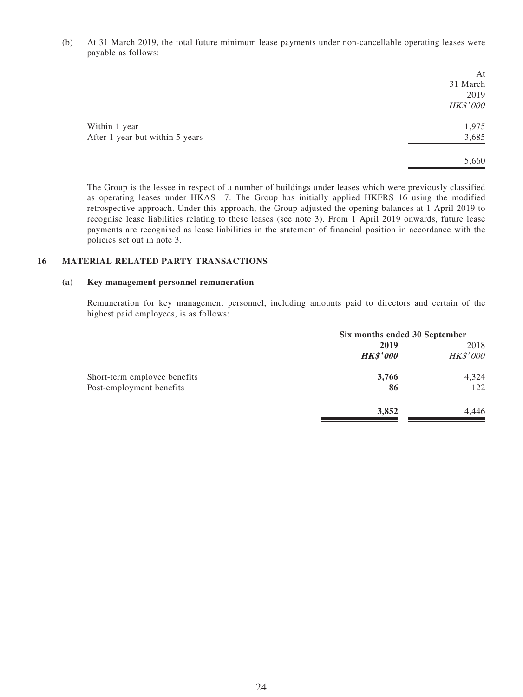(b) At 31 March 2019, the total future minimum lease payments under non-cancellable operating leases were payable as follows:

| At       |
|----------|
| 31 March |
| 2019     |
| HK\$'000 |
| 1,975    |
| 3,685    |
| 5,660    |
|          |

The Group is the lessee in respect of a number of buildings under leases which were previously classified as operating leases under HKAS 17. The Group has initially applied HKFRS 16 using the modified retrospective approach. Under this approach, the Group adjusted the opening balances at 1 April 2019 to recognise lease liabilities relating to these leases (see note 3). From 1 April 2019 onwards, future lease payments are recognised as lease liabilities in the statement of financial position in accordance with the policies set out in note 3.

#### **16 MATERIAL RELATED PARTY TRANSACTIONS**

#### **(a) Key management personnel remuneration**

Remuneration for key management personnel, including amounts paid to directors and certain of the highest paid employees, is as follows:

|                              | Six months ended 30 September |          |  |
|------------------------------|-------------------------------|----------|--|
|                              | 2019                          | 2018     |  |
|                              | <b>HK\$'000</b>               | HK\$'000 |  |
| Short-term employee benefits | 3,766                         | 4,324    |  |
| Post-employment benefits     | 86                            | 122      |  |
|                              | 3,852                         | 4,446    |  |
|                              |                               |          |  |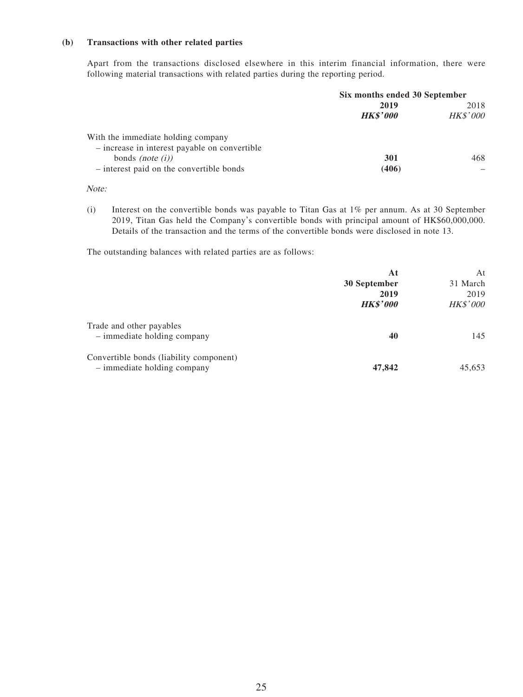#### **(b) Transactions with other related parties**

Apart from the transactions disclosed elsewhere in this interim financial information, there were following material transactions with related parties during the reporting period.

|                                               | Six months ended 30 September |                 |  |
|-----------------------------------------------|-------------------------------|-----------------|--|
|                                               | 2019                          | 2018            |  |
|                                               | <b>HK\$'000</b>               | <b>HK\$'000</b> |  |
| With the immediate holding company            |                               |                 |  |
| - increase in interest payable on convertible |                               |                 |  |
| bonds <i>(note <math>(i)</math>)</i>          | 301                           | 468             |  |
| - interest paid on the convertible bonds      | (406)                         |                 |  |

Note:

(i) Interest on the convertible bonds was payable to Titan Gas at 1% per annum. As at 30 September 2019, Titan Gas held the Company's convertible bonds with principal amount of HK\$60,000,000. Details of the transaction and the terms of the convertible bonds were disclosed in note 13.

The outstanding balances with related parties are as follows:

|                                         | At              | At       |
|-----------------------------------------|-----------------|----------|
|                                         | 30 September    | 31 March |
|                                         | 2019            | 2019     |
|                                         | <b>HK\$'000</b> | HK\$'000 |
| Trade and other payables                |                 |          |
| $-$ immediate holding company           | 40              | 145      |
| Convertible bonds (liability component) |                 |          |
| - immediate holding company             | 47,842          | 45,653   |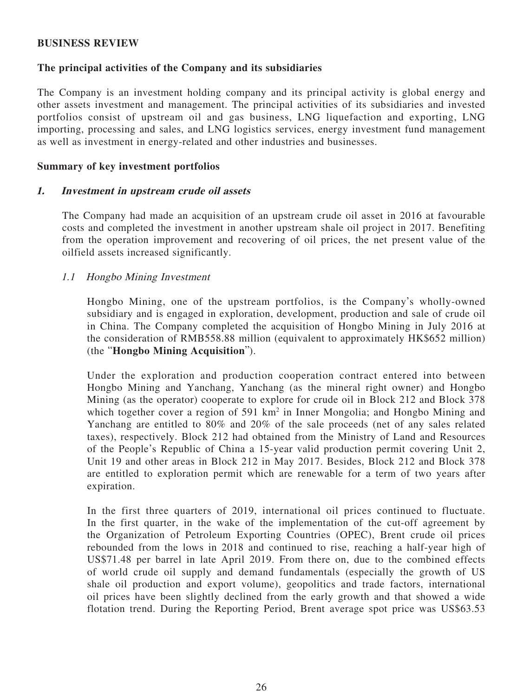#### **BUSINESS REVIEW**

#### **The principal activities of the Company and its subsidiaries**

The Company is an investment holding company and its principal activity is global energy and other assets investment and management. The principal activities of its subsidiaries and invested portfolios consist of upstream oil and gas business, LNG liquefaction and exporting, LNG importing, processing and sales, and LNG logistics services, energy investment fund management as well as investment in energy-related and other industries and businesses.

#### **Summary of key investment portfolios**

#### **1. Investment in upstream crude oil assets**

The Company had made an acquisition of an upstream crude oil asset in 2016 at favourable costs and completed the investment in another upstream shale oil project in 2017. Benefiting from the operation improvement and recovering of oil prices, the net present value of the oilfield assets increased significantly.

#### 1.1 Hongbo Mining Investment

Hongbo Mining, one of the upstream portfolios, is the Company's wholly-owned subsidiary and is engaged in exploration, development, production and sale of crude oil in China. The Company completed the acquisition of Hongbo Mining in July 2016 at the consideration of RMB558.88 million (equivalent to approximately HK\$652 million) (the "**Hongbo Mining Acquisition**").

Under the exploration and production cooperation contract entered into between Hongbo Mining and Yanchang, Yanchang (as the mineral right owner) and Hongbo Mining (as the operator) cooperate to explore for crude oil in Block 212 and Block 378 which together cover a region of 591 km<sup>2</sup> in Inner Mongolia; and Hongbo Mining and Yanchang are entitled to 80% and 20% of the sale proceeds (net of any sales related taxes), respectively. Block 212 had obtained from the Ministry of Land and Resources of the People's Republic of China a 15-year valid production permit covering Unit 2, Unit 19 and other areas in Block 212 in May 2017. Besides, Block 212 and Block 378 are entitled to exploration permit which are renewable for a term of two years after expiration.

In the first three quarters of 2019, international oil prices continued to fluctuate. In the first quarter, in the wake of the implementation of the cut-off agreement by the Organization of Petroleum Exporting Countries (OPEC), Brent crude oil prices rebounded from the lows in 2018 and continued to rise, reaching a half-year high of US\$71.48 per barrel in late April 2019. From there on, due to the combined effects of world crude oil supply and demand fundamentals (especially the growth of US shale oil production and export volume), geopolitics and trade factors, international oil prices have been slightly declined from the early growth and that showed a wide flotation trend. During the Reporting Period, Brent average spot price was US\$63.53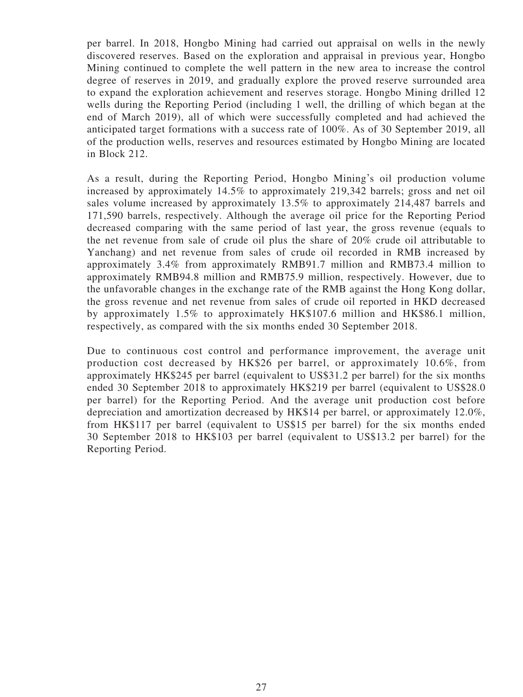per barrel. In 2018, Hongbo Mining had carried out appraisal on wells in the newly discovered reserves. Based on the exploration and appraisal in previous year, Hongbo Mining continued to complete the well pattern in the new area to increase the control degree of reserves in 2019, and gradually explore the proved reserve surrounded area to expand the exploration achievement and reserves storage. Hongbo Mining drilled 12 wells during the Reporting Period (including 1 well, the drilling of which began at the end of March 2019), all of which were successfully completed and had achieved the anticipated target formations with a success rate of 100%. As of 30 September 2019, all of the production wells, reserves and resources estimated by Hongbo Mining are located in Block 212.

As a result, during the Reporting Period, Hongbo Mining's oil production volume increased by approximately 14.5% to approximately 219,342 barrels; gross and net oil sales volume increased by approximately 13.5% to approximately 214,487 barrels and 171,590 barrels, respectively. Although the average oil price for the Reporting Period decreased comparing with the same period of last year, the gross revenue (equals to the net revenue from sale of crude oil plus the share of 20% crude oil attributable to Yanchang) and net revenue from sales of crude oil recorded in RMB increased by approximately 3.4% from approximately RMB91.7 million and RMB73.4 million to approximately RMB94.8 million and RMB75.9 million, respectively. However, due to the unfavorable changes in the exchange rate of the RMB against the Hong Kong dollar, the gross revenue and net revenue from sales of crude oil reported in HKD decreased by approximately 1.5% to approximately HK\$107.6 million and HK\$86.1 million, respectively, as compared with the six months ended 30 September 2018.

Due to continuous cost control and performance improvement, the average unit production cost decreased by HK\$26 per barrel, or approximately 10.6%, from approximately HK\$245 per barrel (equivalent to US\$31.2 per barrel) for the six months ended 30 September 2018 to approximately HK\$219 per barrel (equivalent to US\$28.0 per barrel) for the Reporting Period. And the average unit production cost before depreciation and amortization decreased by HK\$14 per barrel, or approximately 12.0%, from HK\$117 per barrel (equivalent to US\$15 per barrel) for the six months ended 30 September 2018 to HK\$103 per barrel (equivalent to US\$13.2 per barrel) for the Reporting Period.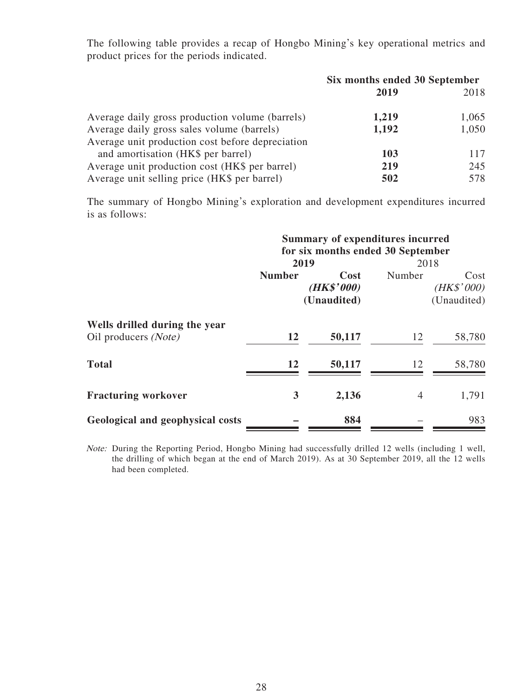The following table provides a recap of Hongbo Mining's key operational metrics and product prices for the periods indicated.

|                                                  | Six months ended 30 September |       |
|--------------------------------------------------|-------------------------------|-------|
|                                                  | 2019                          | 2018  |
| Average daily gross production volume (barrels)  | 1,219                         | 1,065 |
| Average daily gross sales volume (barrels)       | 1,192                         | 1,050 |
| Average unit production cost before depreciation |                               |       |
| and amortisation (HK\$ per barrel)               | 103                           | 117   |
| Average unit production cost (HK\$ per barrel)   | 219                           | 245   |
| Average unit selling price (HK\$ per barrel)     | 502                           | 578   |

The summary of Hongbo Mining's exploration and development expenditures incurred is as follows:

|                                                       | <b>Summary of expenditures incurred</b> |                                   |        |                                   |  |
|-------------------------------------------------------|-----------------------------------------|-----------------------------------|--------|-----------------------------------|--|
|                                                       | for six months ended 30 September       |                                   |        |                                   |  |
|                                                       | 2019                                    |                                   | 2018   |                                   |  |
|                                                       | <b>Number</b>                           | Cost<br>(HK\$'000)<br>(Unaudited) | Number | Cost<br>(HK\$'000)<br>(Unaudited) |  |
| Wells drilled during the year<br>Oil producers (Note) | 12                                      | 50,117                            | 12     | 58,780                            |  |
| <b>Total</b>                                          | 12                                      | 50,117                            | 12     | 58,780                            |  |
| <b>Fracturing workover</b>                            | 3                                       | 2,136                             | 4      | 1,791                             |  |
| Geological and geophysical costs                      |                                         | 884                               |        | 983                               |  |

Note: During the Reporting Period, Hongbo Mining had successfully drilled 12 wells (including 1 well, the drilling of which began at the end of March 2019). As at 30 September 2019, all the 12 wells had been completed.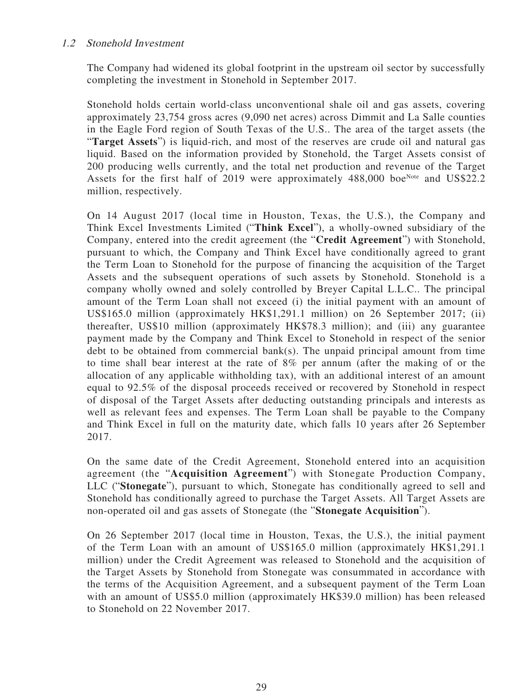### 1.2 Stonehold Investment

The Company had widened its global footprint in the upstream oil sector by successfully completing the investment in Stonehold in September 2017.

Stonehold holds certain world-class unconventional shale oil and gas assets, covering approximately 23,754 gross acres (9,090 net acres) across Dimmit and La Salle counties in the Eagle Ford region of South Texas of the U.S.. The area of the target assets (the "**Target Assets**") is liquid-rich, and most of the reserves are crude oil and natural gas liquid. Based on the information provided by Stonehold, the Target Assets consist of 200 producing wells currently, and the total net production and revenue of the Target Assets for the first half of 2019 were approximately  $488,000$  boe<sup>Note</sup> and US\$22.2 million, respectively.

On 14 August 2017 (local time in Houston, Texas, the U.S.), the Company and Think Excel Investments Limited ("**Think Excel**"), a wholly-owned subsidiary of the Company, entered into the credit agreement (the "**Credit Agreement**") with Stonehold, pursuant to which, the Company and Think Excel have conditionally agreed to grant the Term Loan to Stonehold for the purpose of financing the acquisition of the Target Assets and the subsequent operations of such assets by Stonehold. Stonehold is a company wholly owned and solely controlled by Breyer Capital L.L.C.. The principal amount of the Term Loan shall not exceed (i) the initial payment with an amount of US\$165.0 million (approximately HK\$1,291.1 million) on 26 September 2017; (ii) thereafter, US\$10 million (approximately HK\$78.3 million); and (iii) any guarantee payment made by the Company and Think Excel to Stonehold in respect of the senior debt to be obtained from commercial bank(s). The unpaid principal amount from time to time shall bear interest at the rate of 8% per annum (after the making of or the allocation of any applicable withholding tax), with an additional interest of an amount equal to 92.5% of the disposal proceeds received or recovered by Stonehold in respect of disposal of the Target Assets after deducting outstanding principals and interests as well as relevant fees and expenses. The Term Loan shall be payable to the Company and Think Excel in full on the maturity date, which falls 10 years after 26 September 2017.

On the same date of the Credit Agreement, Stonehold entered into an acquisition agreement (the "**Acquisition Agreement**") with Stonegate Production Company, LLC ("**Stonegate**"), pursuant to which, Stonegate has conditionally agreed to sell and Stonehold has conditionally agreed to purchase the Target Assets. All Target Assets are non-operated oil and gas assets of Stonegate (the "**Stonegate Acquisition**").

On 26 September 2017 (local time in Houston, Texas, the U.S.), the initial payment of the Term Loan with an amount of US\$165.0 million (approximately HK\$1,291.1 million) under the Credit Agreement was released to Stonehold and the acquisition of the Target Assets by Stonehold from Stonegate was consummated in accordance with the terms of the Acquisition Agreement, and a subsequent payment of the Term Loan with an amount of US\$5.0 million (approximately HK\$39.0 million) has been released to Stonehold on 22 November 2017.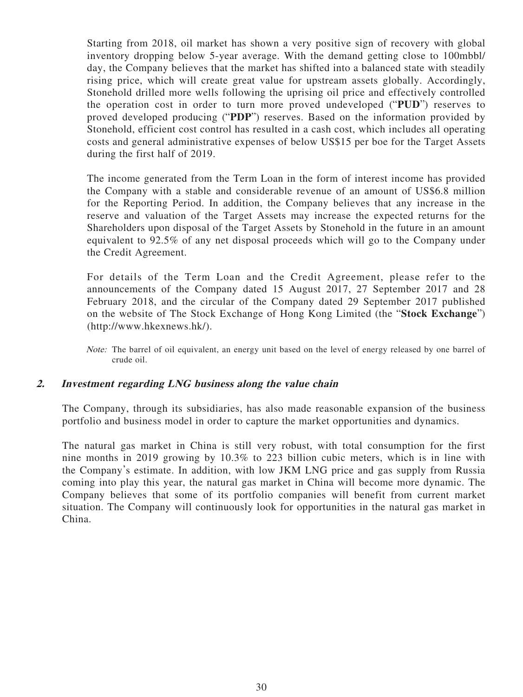Starting from 2018, oil market has shown a very positive sign of recovery with global inventory dropping below 5-year average. With the demand getting close to 100mbbl/ day, the Company believes that the market has shifted into a balanced state with steadily rising price, which will create great value for upstream assets globally. Accordingly, Stonehold drilled more wells following the uprising oil price and effectively controlled the operation cost in order to turn more proved undeveloped ("**PUD**") reserves to proved developed producing ("**PDP**") reserves. Based on the information provided by Stonehold, efficient cost control has resulted in a cash cost, which includes all operating costs and general administrative expenses of below US\$15 per boe for the Target Assets during the first half of 2019.

The income generated from the Term Loan in the form of interest income has provided the Company with a stable and considerable revenue of an amount of US\$6.8 million for the Reporting Period. In addition, the Company believes that any increase in the reserve and valuation of the Target Assets may increase the expected returns for the Shareholders upon disposal of the Target Assets by Stonehold in the future in an amount equivalent to 92.5% of any net disposal proceeds which will go to the Company under the Credit Agreement.

For details of the Term Loan and the Credit Agreement, please refer to the announcements of the Company dated 15 August 2017, 27 September 2017 and 28 February 2018, and the circular of the Company dated 29 September 2017 published on the website of The Stock Exchange of Hong Kong Limited (the "**Stock Exchange**") (http://www.hkexnews.hk/).

Note: The barrel of oil equivalent, an energy unit based on the level of energy released by one barrel of crude oil.

#### **2. Investment regarding LNG business along the value chain**

The Company, through its subsidiaries, has also made reasonable expansion of the business portfolio and business model in order to capture the market opportunities and dynamics.

The natural gas market in China is still very robust, with total consumption for the first nine months in 2019 growing by 10.3% to 223 billion cubic meters, which is in line with the Company's estimate. In addition, with low JKM LNG price and gas supply from Russia coming into play this year, the natural gas market in China will become more dynamic. The Company believes that some of its portfolio companies will benefit from current market situation. The Company will continuously look for opportunities in the natural gas market in China.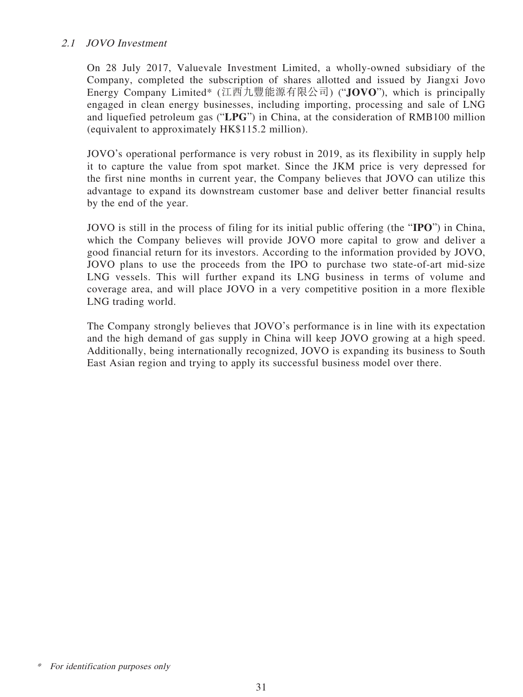### 2.1 JOVO Investment

On 28 July 2017, Valuevale Investment Limited, a wholly-owned subsidiary of the Company, completed the subscription of shares allotted and issued by Jiangxi Jovo Energy Company Limited\* (江西九豐能源有限公司) ("**JOVO**"), which is principally engaged in clean energy businesses, including importing, processing and sale of LNG and liquefied petroleum gas ("**LPG**") in China, at the consideration of RMB100 million (equivalent to approximately HK\$115.2 million).

JOVO's operational performance is very robust in 2019, as its flexibility in supply help it to capture the value from spot market. Since the JKM price is very depressed for the first nine months in current year, the Company believes that JOVO can utilize this advantage to expand its downstream customer base and deliver better financial results by the end of the year.

JOVO is still in the process of filing for its initial public offering (the "**IPO**") in China, which the Company believes will provide JOVO more capital to grow and deliver a good financial return for its investors. According to the information provided by JOVO, JOVO plans to use the proceeds from the IPO to purchase two state-of-art mid-size LNG vessels. This will further expand its LNG business in terms of volume and coverage area, and will place JOVO in a very competitive position in a more flexible LNG trading world.

The Company strongly believes that JOVO's performance is in line with its expectation and the high demand of gas supply in China will keep JOVO growing at a high speed. Additionally, being internationally recognized, JOVO is expanding its business to South East Asian region and trying to apply its successful business model over there.

For identification purposes only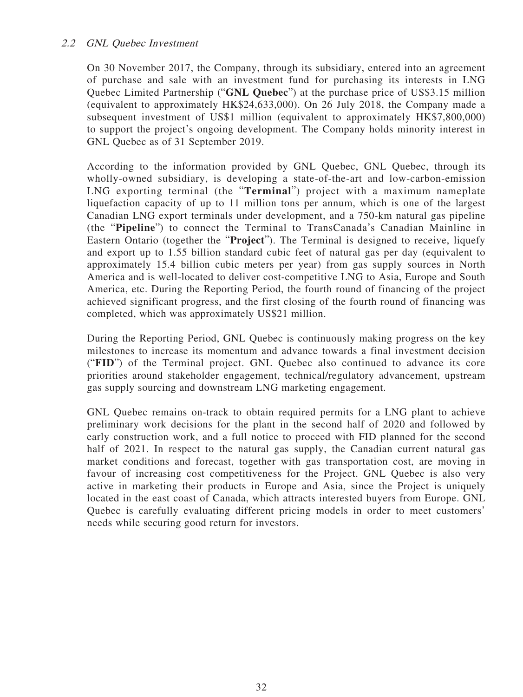### 2.2 GNL Quebec Investment

On 30 November 2017, the Company, through its subsidiary, entered into an agreement of purchase and sale with an investment fund for purchasing its interests in LNG Quebec Limited Partnership ("**GNL Quebec**") at the purchase price of US\$3.15 million (equivalent to approximately HK\$24,633,000). On 26 July 2018, the Company made a subsequent investment of US\$1 million (equivalent to approximately HK\$7,800,000) to support the project's ongoing development. The Company holds minority interest in GNL Quebec as of 31 September 2019.

According to the information provided by GNL Quebec, GNL Quebec, through its wholly-owned subsidiary, is developing a state-of-the-art and low-carbon-emission LNG exporting terminal (the "**Terminal**") project with a maximum nameplate liquefaction capacity of up to 11 million tons per annum, which is one of the largest Canadian LNG export terminals under development, and a 750-km natural gas pipeline (the "**Pipeline**") to connect the Terminal to TransCanada's Canadian Mainline in Eastern Ontario (together the "**Project**"). The Terminal is designed to receive, liquefy and export up to 1.55 billion standard cubic feet of natural gas per day (equivalent to approximately 15.4 billion cubic meters per year) from gas supply sources in North America and is well-located to deliver cost-competitive LNG to Asia, Europe and South America, etc. During the Reporting Period, the fourth round of financing of the project achieved significant progress, and the first closing of the fourth round of financing was completed, which was approximately US\$21 million.

During the Reporting Period, GNL Quebec is continuously making progress on the key milestones to increase its momentum and advance towards a final investment decision ("**FID**") of the Terminal project. GNL Quebec also continued to advance its core priorities around stakeholder engagement, technical/regulatory advancement, upstream gas supply sourcing and downstream LNG marketing engagement.

GNL Quebec remains on-track to obtain required permits for a LNG plant to achieve preliminary work decisions for the plant in the second half of 2020 and followed by early construction work, and a full notice to proceed with FID planned for the second half of 2021. In respect to the natural gas supply, the Canadian current natural gas market conditions and forecast, together with gas transportation cost, are moving in favour of increasing cost competitiveness for the Project. GNL Quebec is also very active in marketing their products in Europe and Asia, since the Project is uniquely located in the east coast of Canada, which attracts interested buyers from Europe. GNL Quebec is carefully evaluating different pricing models in order to meet customers' needs while securing good return for investors.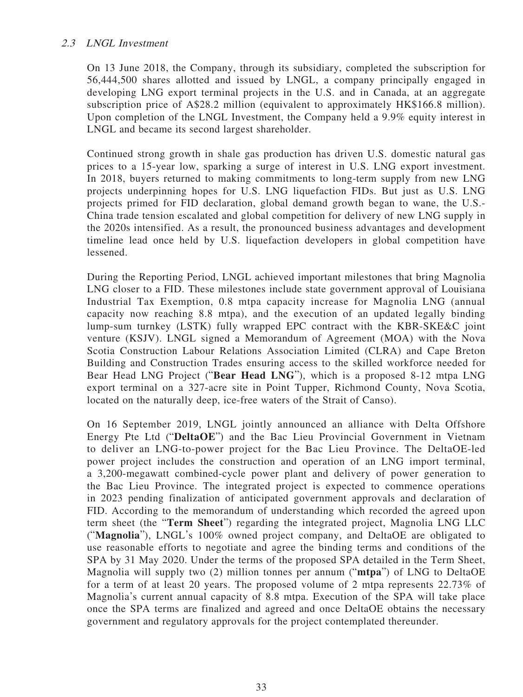### 2.3 LNGL Investment

On 13 June 2018, the Company, through its subsidiary, completed the subscription for 56,444,500 shares allotted and issued by LNGL, a company principally engaged in developing LNG export terminal projects in the U.S. and in Canada, at an aggregate subscription price of A\$28.2 million (equivalent to approximately HK\$166.8 million). Upon completion of the LNGL Investment, the Company held a 9.9% equity interest in LNGL and became its second largest shareholder.

Continued strong growth in shale gas production has driven U.S. domestic natural gas prices to a 15-year low, sparking a surge of interest in U.S. LNG export investment. In 2018, buyers returned to making commitments to long-term supply from new LNG projects underpinning hopes for U.S. LNG liquefaction FIDs. But just as U.S. LNG projects primed for FID declaration, global demand growth began to wane, the U.S.- China trade tension escalated and global competition for delivery of new LNG supply in the 2020s intensified. As a result, the pronounced business advantages and development timeline lead once held by U.S. liquefaction developers in global competition have lessened.

During the Reporting Period, LNGL achieved important milestones that bring Magnolia LNG closer to a FID. These milestones include state government approval of Louisiana Industrial Tax Exemption, 0.8 mtpa capacity increase for Magnolia LNG (annual capacity now reaching 8.8 mtpa), and the execution of an updated legally binding lump-sum turnkey (LSTK) fully wrapped EPC contract with the KBR-SKE&C joint venture (KSJV). LNGL signed a Memorandum of Agreement (MOA) with the Nova Scotia Construction Labour Relations Association Limited (CLRA) and Cape Breton Building and Construction Trades ensuring access to the skilled workforce needed for Bear Head LNG Project ("**Bear Head LNG**"), which is a proposed 8-12 mtpa LNG export terminal on a 327-acre site in Point Tupper, Richmond County, Nova Scotia, located on the naturally deep, ice-free waters of the Strait of Canso).

On 16 September 2019, LNGL jointly announced an alliance with Delta Offshore Energy Pte Ltd ("**DeltaOE**") and the Bac Lieu Provincial Government in Vietnam to deliver an LNG-to-power project for the Bac Lieu Province. The DeltaOE-led power project includes the construction and operation of an LNG import terminal, a 3,200-megawatt combined-cycle power plant and delivery of power generation to the Bac Lieu Province. The integrated project is expected to commence operations in 2023 pending finalization of anticipated government approvals and declaration of FID. According to the memorandum of understanding which recorded the agreed upon term sheet (the "**Term Sheet**") regarding the integrated project, Magnolia LNG LLC ("**Magnolia**"), LNGL's 100% owned project company, and DeltaOE are obligated to use reasonable efforts to negotiate and agree the binding terms and conditions of the SPA by 31 May 2020. Under the terms of the proposed SPA detailed in the Term Sheet, Magnolia will supply two (2) million tonnes per annum ("**mtpa**") of LNG to DeltaOE for a term of at least 20 years. The proposed volume of 2 mtpa represents 22.73% of Magnolia's current annual capacity of 8.8 mtpa. Execution of the SPA will take place once the SPA terms are finalized and agreed and once DeltaOE obtains the necessary government and regulatory approvals for the project contemplated thereunder.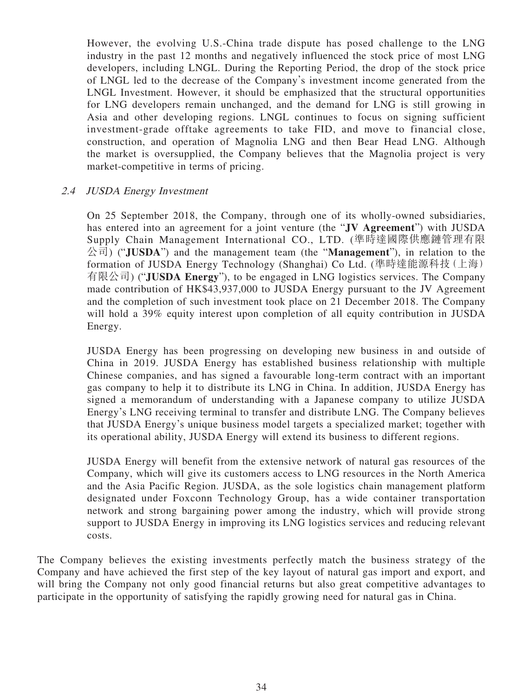However, the evolving U.S.-China trade dispute has posed challenge to the LNG industry in the past 12 months and negatively influenced the stock price of most LNG developers, including LNGL. During the Reporting Period, the drop of the stock price of LNGL led to the decrease of the Company's investment income generated from the LNGL Investment. However, it should be emphasized that the structural opportunities for LNG developers remain unchanged, and the demand for LNG is still growing in Asia and other developing regions. LNGL continues to focus on signing sufficient investment-grade offtake agreements to take FID, and move to financial close, construction, and operation of Magnolia LNG and then Bear Head LNG. Although the market is oversupplied, the Company believes that the Magnolia project is very market-competitive in terms of pricing.

### 2.4 JUSDA Energy Investment

On 25 September 2018, the Company, through one of its wholly-owned subsidiaries, has entered into an agreement for a joint venture (the "**JV Agreement**") with JUSDA Supply Chain Management International CO., LTD. (準時達國際供應鏈管理有限 公司) ("**JUSDA**") and the management team (the "**Management**"), in relation to the formation of JUSDA Energy Technology (Shanghai) Co Ltd. (準時達能源科技(上海) 有限公司) ("**JUSDA Energy**"), to be engaged in LNG logistics services. The Company made contribution of HK\$43,937,000 to JUSDA Energy pursuant to the JV Agreement and the completion of such investment took place on 21 December 2018. The Company will hold a 39% equity interest upon completion of all equity contribution in JUSDA Energy.

JUSDA Energy has been progressing on developing new business in and outside of China in 2019. JUSDA Energy has established business relationship with multiple Chinese companies, and has signed a favourable long-term contract with an important gas company to help it to distribute its LNG in China. In addition, JUSDA Energy has signed a memorandum of understanding with a Japanese company to utilize JUSDA Energy's LNG receiving terminal to transfer and distribute LNG. The Company believes that JUSDA Energy's unique business model targets a specialized market; together with its operational ability, JUSDA Energy will extend its business to different regions.

JUSDA Energy will benefit from the extensive network of natural gas resources of the Company, which will give its customers access to LNG resources in the North America and the Asia Pacific Region. JUSDA, as the sole logistics chain management platform designated under Foxconn Technology Group, has a wide container transportation network and strong bargaining power among the industry, which will provide strong support to JUSDA Energy in improving its LNG logistics services and reducing relevant costs.

The Company believes the existing investments perfectly match the business strategy of the Company and have achieved the first step of the key layout of natural gas import and export, and will bring the Company not only good financial returns but also great competitive advantages to participate in the opportunity of satisfying the rapidly growing need for natural gas in China.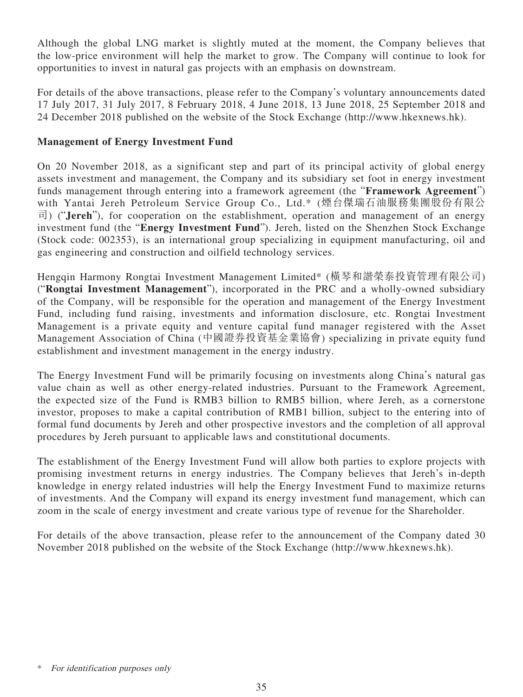Although the global LNG market is slightly muted at the moment, the Company believes that the low-price environment will help the market to grow. The Company will continue to look for opportunities to invest in natural gas projects with an emphasis on downstream.

For details of the above transactions, please refer to the Company's voluntary announcements dated 17 July 2017, 31 July 2017, 8 February 2018, 4 June 2018, 13 June 2018, 25 September 2018 and 24 December 2018 published on the website of the Stock Exchange (http://www.hkexnews.hk).

### **Management of Energy Investment Fund**

On 20 November 2018, as a significant step and part of its principal activity of global energy assets investment and management, the Company and its subsidiary set foot in energy investment funds management through entering into a framework agreement (the "**Framework Agreement**") with Yantai Jereh Petroleum Service Group Co., Ltd.\* (煙台傑瑞石油服務集團股份有限公 司) ("**Jereh**"), for cooperation on the establishment, operation and management of an energy investment fund (the "**Energy Investment Fund**"). Jereh, listed on the Shenzhen Stock Exchange (Stock code: 002353), is an international group specializing in equipment manufacturing, oil and gas engineering and construction and oilfield technology services.

Hengqin Harmony Rongtai Investment Management Limited\* (橫琴和諧榮泰投資管理有限公司) ("**Rongtai Investment Management**"), incorporated in the PRC and a wholly-owned subsidiary of the Company, will be responsible for the operation and management of the Energy Investment Fund, including fund raising, investments and information disclosure, etc. Rongtai Investment Management is a private equity and venture capital fund manager registered with the Asset Management Association of China (中國證券投資基金業協會) specializing in private equity fund establishment and investment management in the energy industry.

The Energy Investment Fund will be primarily focusing on investments along China's natural gas value chain as well as other energy-related industries. Pursuant to the Framework Agreement, the expected size of the Fund is RMB3 billion to RMB5 billion, where Jereh, as a cornerstone investor, proposes to make a capital contribution of RMB1 billion, subject to the entering into of formal fund documents by Jereh and other prospective investors and the completion of all approval procedures by Jereh pursuant to applicable laws and constitutional documents.

The establishment of the Energy Investment Fund will allow both parties to explore projects with promising investment returns in energy industries. The Company believes that Jereh's in-depth knowledge in energy related industries will help the Energy Investment Fund to maximize returns of investments. And the Company will expand its energy investment fund management, which can zoom in the scale of energy investment and create various type of revenue for the Shareholder.

For details of the above transaction, please refer to the announcement of the Company dated 30 November 2018 published on the website of the Stock Exchange (http://www.hkexnews.hk).

For identification purposes only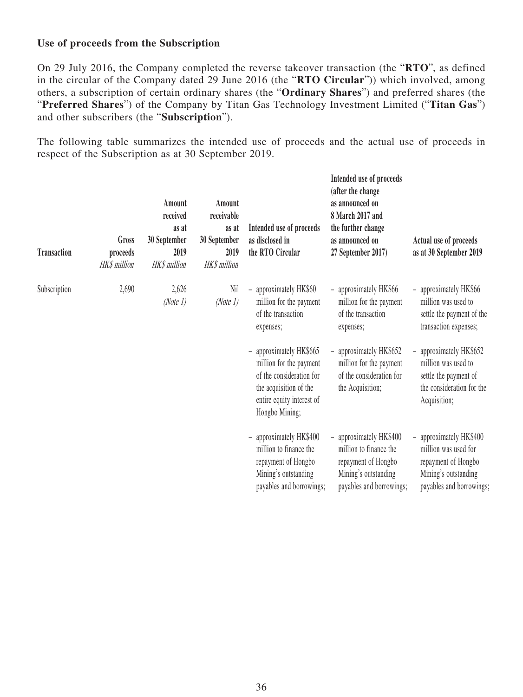### **Use of proceeds from the Subscription**

On 29 July 2016, the Company completed the reverse takeover transaction (the "**RTO**", as defined in the circular of the Company dated 29 June 2016 (the "**RTO Circular**")) which involved, among others, a subscription of certain ordinary shares (the "**Ordinary Shares**") and preferred shares (the "**Preferred Shares**") of the Company by Titan Gas Technology Investment Limited ("**Titan Gas**") and other subscribers (the "**Subscription**").

The following table summarizes the intended use of proceeds and the actual use of proceeds in respect of the Subscription as at 30 September 2019.

| <b>Transaction</b> | Gross<br>proceeds<br><b>HK\$</b> million | Amount<br>received<br>as at<br>30 September<br>2019<br><b>HK\$</b> million | Amount<br>receivable<br>as at<br>30 September<br>2019<br><b>HK\$</b> million | Intended use of proceeds<br>as disclosed in<br>the RTO Circular                                                                                            | Intended use of proceeds<br>(after the change<br>as announced on<br>8 March 2017 and<br>the further change<br>as announced on<br>27 September 2017) | Actual use of proceeds<br>as at 30 September 2019                                                                                              |
|--------------------|------------------------------------------|----------------------------------------------------------------------------|------------------------------------------------------------------------------|------------------------------------------------------------------------------------------------------------------------------------------------------------|-----------------------------------------------------------------------------------------------------------------------------------------------------|------------------------------------------------------------------------------------------------------------------------------------------------|
| Subscription       | 2,690                                    | 2,626<br>(Note 1)                                                          | Nil<br>(Note 1)                                                              | approximately HK\$60<br>million for the payment<br>of the transaction<br>expenses;                                                                         | - approximately HK\$66<br>million for the payment<br>of the transaction<br>expenses;                                                                | approximately HK\$66<br>million was used to<br>settle the payment of the<br>transaction expenses;                                              |
|                    |                                          |                                                                            |                                                                              | approximately HK\$665<br>-<br>million for the payment<br>of the consideration for<br>the acquisition of the<br>entire equity interest of<br>Hongbo Mining; | - approximately HK\$652<br>million for the payment<br>of the consideration for<br>the Acquisition;                                                  | approximately HK\$652<br>$\overline{\phantom{0}}$<br>million was used to<br>settle the payment of<br>the consideration for the<br>Acquisition; |
|                    |                                          |                                                                            |                                                                              | - approximately HK\$400<br>million to finance the<br>repayment of Hongbo<br>Mining's outstanding<br>payables and borrowings;                               | - approximately HK\$400<br>million to finance the<br>repayment of Hongbo<br>Mining's outstanding<br>payables and borrowings;                        | - approximately HK\$400<br>million was used for<br>repayment of Hongbo<br>Mining's outstanding<br>payables and borrowings;                     |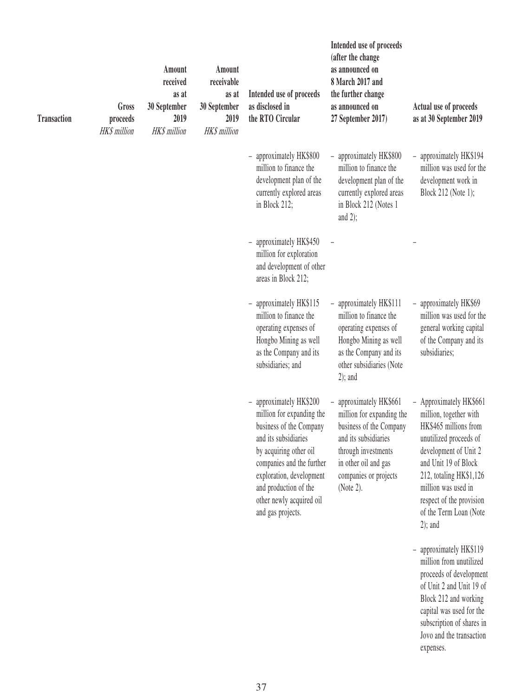| <b>Transaction</b> | Gross<br>proceeds<br><b>HK\$</b> million | Amount<br>received<br>as at<br>30 September<br>2019<br><b>HK\$</b> million | Amount<br>receivable<br>as at<br>30 September<br>2019<br><b>HK\$</b> million | Intended use of proceeds<br>as disclosed in<br>the RTO Circular                                                                                                                                                                                                    | Intended use of proceeds<br>(after the change<br>as announced on<br>8 March 2017 and<br>the further change<br>as announced on<br>27 September 2017)                                          | Actual use of proceeds<br>as at 30 September 2019                                                                                                                                                                                                                           |
|--------------------|------------------------------------------|----------------------------------------------------------------------------|------------------------------------------------------------------------------|--------------------------------------------------------------------------------------------------------------------------------------------------------------------------------------------------------------------------------------------------------------------|----------------------------------------------------------------------------------------------------------------------------------------------------------------------------------------------|-----------------------------------------------------------------------------------------------------------------------------------------------------------------------------------------------------------------------------------------------------------------------------|
|                    |                                          |                                                                            |                                                                              | approximately HK\$800<br>$\overline{\phantom{a}}$<br>million to finance the<br>development plan of the<br>currently explored areas<br>in Block 212;                                                                                                                | - approximately HK\$800<br>million to finance the<br>development plan of the<br>currently explored areas<br>in Block 212 (Notes 1<br>and $2$ );                                              | approximately HK\$194<br>$\overline{\phantom{0}}$<br>million was used for the<br>development work in<br>Block 212 (Note 1);                                                                                                                                                 |
|                    |                                          |                                                                            |                                                                              | approximately HK\$450<br>million for exploration<br>and development of other<br>areas in Block 212;                                                                                                                                                                |                                                                                                                                                                                              |                                                                                                                                                                                                                                                                             |
|                    |                                          |                                                                            |                                                                              | approximately HK\$115<br>$\overline{\phantom{a}}$<br>million to finance the<br>operating expenses of<br>Hongbo Mining as well<br>as the Company and its<br>subsidiaries; and                                                                                       | - approximately HK\$111<br>million to finance the<br>operating expenses of<br>Hongbo Mining as well<br>as the Company and its<br>other subsidiaries (Note<br>$2)$ ; and                      | - approximately HK\$69<br>million was used for the<br>general working capital<br>of the Company and its<br>subsidiaries;                                                                                                                                                    |
|                    |                                          |                                                                            |                                                                              | approximately HK\$200<br>million for expanding the<br>business of the Company<br>and its subsidiaries<br>by acquiring other oil<br>companies and the further<br>exploration, development<br>and production of the<br>other newly acquired oil<br>and gas projects. | - approximately HK\$661<br>million for expanding the<br>business of the Company<br>and its subsidiaries<br>through investments<br>in other oil and gas<br>companies or projects<br>(Note 2). | - Approximately HK\$661<br>million, together with<br>HK\$465 millions from<br>unutilized proceeds of<br>development of Unit 2<br>and Unit 19 of Block<br>212, totaling HK\$1,126<br>million was used in<br>respect of the provision<br>of the Term Loan (Note<br>$2)$ ; and |
|                    |                                          |                                                                            |                                                                              |                                                                                                                                                                                                                                                                    |                                                                                                                                                                                              | - approximately HK\$119<br>million from unutilized<br>proceeds of development<br>of Unit 2 and Unit 19 of<br>Block 212 and working<br>capital was used for the<br>subscription of shares in<br>Jovo and the transaction<br>expenses.                                        |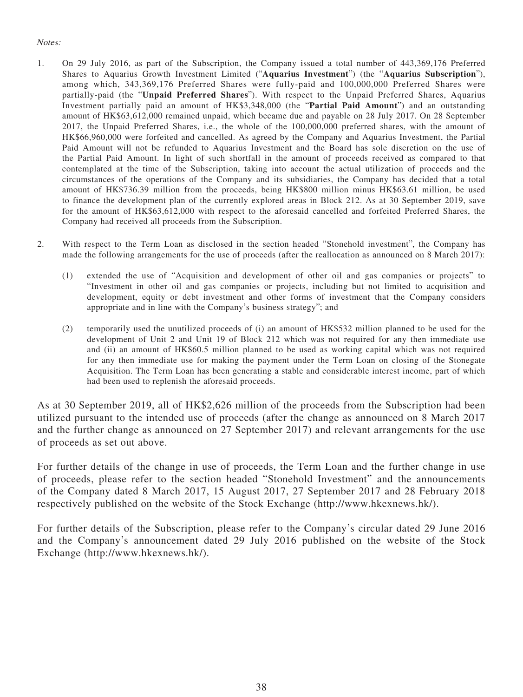#### Notes:

- 1. On 29 July 2016, as part of the Subscription, the Company issued a total number of 443,369,176 Preferred Shares to Aquarius Growth Investment Limited ("**Aquarius Investment**") (the "**Aquarius Subscription**"), among which, 343,369,176 Preferred Shares were fully-paid and 100,000,000 Preferred Shares were partially-paid (the "**Unpaid Preferred Shares**"). With respect to the Unpaid Preferred Shares, Aquarius Investment partially paid an amount of HK\$3,348,000 (the "**Partial Paid Amount**") and an outstanding amount of HK\$63,612,000 remained unpaid, which became due and payable on 28 July 2017. On 28 September 2017, the Unpaid Preferred Shares, i.e., the whole of the 100,000,000 preferred shares, with the amount of HK\$66,960,000 were forfeited and cancelled. As agreed by the Company and Aquarius Investment, the Partial Paid Amount will not be refunded to Aquarius Investment and the Board has sole discretion on the use of the Partial Paid Amount. In light of such shortfall in the amount of proceeds received as compared to that contemplated at the time of the Subscription, taking into account the actual utilization of proceeds and the circumstances of the operations of the Company and its subsidiaries, the Company has decided that a total amount of HK\$736.39 million from the proceeds, being HK\$800 million minus HK\$63.61 million, be used to finance the development plan of the currently explored areas in Block 212. As at 30 September 2019, save for the amount of HK\$63,612,000 with respect to the aforesaid cancelled and forfeited Preferred Shares, the Company had received all proceeds from the Subscription.
- 2. With respect to the Term Loan as disclosed in the section headed "Stonehold investment", the Company has made the following arrangements for the use of proceeds (after the reallocation as announced on 8 March 2017):
	- (1) extended the use of "Acquisition and development of other oil and gas companies or projects" to "Investment in other oil and gas companies or projects, including but not limited to acquisition and development, equity or debt investment and other forms of investment that the Company considers appropriate and in line with the Company's business strategy"; and
	- (2) temporarily used the unutilized proceeds of (i) an amount of HK\$532 million planned to be used for the development of Unit 2 and Unit 19 of Block 212 which was not required for any then immediate use and (ii) an amount of HK\$60.5 million planned to be used as working capital which was not required for any then immediate use for making the payment under the Term Loan on closing of the Stonegate Acquisition. The Term Loan has been generating a stable and considerable interest income, part of which had been used to replenish the aforesaid proceeds.

As at 30 September 2019, all of HK\$2,626 million of the proceeds from the Subscription had been utilized pursuant to the intended use of proceeds (after the change as announced on 8 March 2017 and the further change as announced on 27 September 2017) and relevant arrangements for the use of proceeds as set out above.

For further details of the change in use of proceeds, the Term Loan and the further change in use of proceeds, please refer to the section headed "Stonehold Investment" and the announcements of the Company dated 8 March 2017, 15 August 2017, 27 September 2017 and 28 February 2018 respectively published on the website of the Stock Exchange (http://www.hkexnews.hk/).

For further details of the Subscription, please refer to the Company's circular dated 29 June 2016 and the Company's announcement dated 29 July 2016 published on the website of the Stock Exchange (http://www.hkexnews.hk/).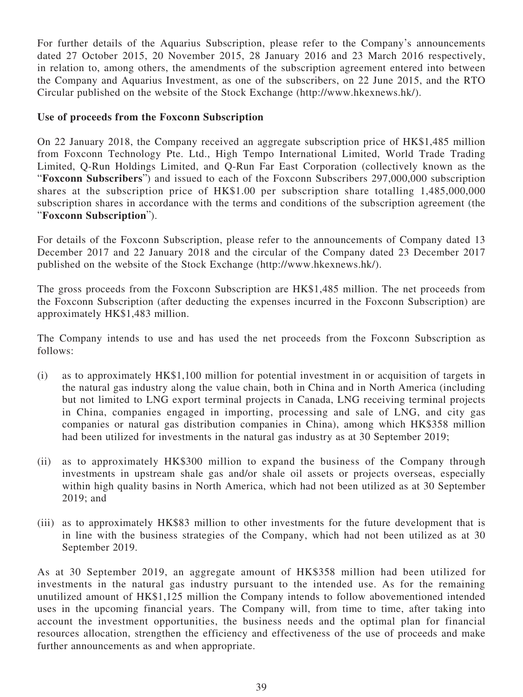For further details of the Aquarius Subscription, please refer to the Company's announcements dated 27 October 2015, 20 November 2015, 28 January 2016 and 23 March 2016 respectively, in relation to, among others, the amendments of the subscription agreement entered into between the Company and Aquarius Investment, as one of the subscribers, on 22 June 2015, and the RTO Circular published on the website of the Stock Exchange (http://www.hkexnews.hk/).

### **Use of proceeds from the Foxconn Subscription**

On 22 January 2018, the Company received an aggregate subscription price of HK\$1,485 million from Foxconn Technology Pte. Ltd., High Tempo International Limited, World Trade Trading Limited, Q-Run Holdings Limited, and Q-Run Far East Corporation (collectively known as the "**Foxconn Subscribers**") and issued to each of the Foxconn Subscribers 297,000,000 subscription shares at the subscription price of HK\$1.00 per subscription share totalling 1,485,000,000 subscription shares in accordance with the terms and conditions of the subscription agreement (the "**Foxconn Subscription**").

For details of the Foxconn Subscription, please refer to the announcements of Company dated 13 December 2017 and 22 January 2018 and the circular of the Company dated 23 December 2017 published on the website of the Stock Exchange (http://www.hkexnews.hk/).

The gross proceeds from the Foxconn Subscription are HK\$1,485 million. The net proceeds from the Foxconn Subscription (after deducting the expenses incurred in the Foxconn Subscription) are approximately HK\$1,483 million.

The Company intends to use and has used the net proceeds from the Foxconn Subscription as follows:

- (i) as to approximately HK\$1,100 million for potential investment in or acquisition of targets in the natural gas industry along the value chain, both in China and in North America (including but not limited to LNG export terminal projects in Canada, LNG receiving terminal projects in China, companies engaged in importing, processing and sale of LNG, and city gas companies or natural gas distribution companies in China), among which HK\$358 million had been utilized for investments in the natural gas industry as at 30 September 2019;
- (ii) as to approximately HK\$300 million to expand the business of the Company through investments in upstream shale gas and/or shale oil assets or projects overseas, especially within high quality basins in North America, which had not been utilized as at 30 September 2019; and
- (iii) as to approximately HK\$83 million to other investments for the future development that is in line with the business strategies of the Company, which had not been utilized as at 30 September 2019.

As at 30 September 2019, an aggregate amount of HK\$358 million had been utilized for investments in the natural gas industry pursuant to the intended use. As for the remaining unutilized amount of HK\$1,125 million the Company intends to follow abovementioned intended uses in the upcoming financial years. The Company will, from time to time, after taking into account the investment opportunities, the business needs and the optimal plan for financial resources allocation, strengthen the efficiency and effectiveness of the use of proceeds and make further announcements as and when appropriate.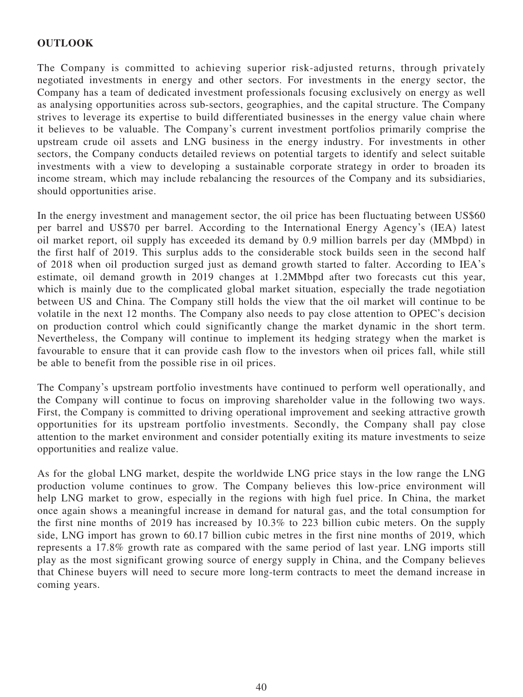### **OUTLOOK**

The Company is committed to achieving superior risk-adjusted returns, through privately negotiated investments in energy and other sectors. For investments in the energy sector, the Company has a team of dedicated investment professionals focusing exclusively on energy as well as analysing opportunities across sub-sectors, geographies, and the capital structure. The Company strives to leverage its expertise to build differentiated businesses in the energy value chain where it believes to be valuable. The Company's current investment portfolios primarily comprise the upstream crude oil assets and LNG business in the energy industry. For investments in other sectors, the Company conducts detailed reviews on potential targets to identify and select suitable investments with a view to developing a sustainable corporate strategy in order to broaden its income stream, which may include rebalancing the resources of the Company and its subsidiaries, should opportunities arise.

In the energy investment and management sector, the oil price has been fluctuating between US\$60 per barrel and US\$70 per barrel. According to the International Energy Agency's (IEA) latest oil market report, oil supply has exceeded its demand by 0.9 million barrels per day (MMbpd) in the first half of 2019. This surplus adds to the considerable stock builds seen in the second half of 2018 when oil production surged just as demand growth started to falter. According to IEA's estimate, oil demand growth in 2019 changes at 1.2MMbpd after two forecasts cut this year, which is mainly due to the complicated global market situation, especially the trade negotiation between US and China. The Company still holds the view that the oil market will continue to be volatile in the next 12 months. The Company also needs to pay close attention to OPEC's decision on production control which could significantly change the market dynamic in the short term. Nevertheless, the Company will continue to implement its hedging strategy when the market is favourable to ensure that it can provide cash flow to the investors when oil prices fall, while still be able to benefit from the possible rise in oil prices.

The Company's upstream portfolio investments have continued to perform well operationally, and the Company will continue to focus on improving shareholder value in the following two ways. First, the Company is committed to driving operational improvement and seeking attractive growth opportunities for its upstream portfolio investments. Secondly, the Company shall pay close attention to the market environment and consider potentially exiting its mature investments to seize opportunities and realize value.

As for the global LNG market, despite the worldwide LNG price stays in the low range the LNG production volume continues to grow. The Company believes this low-price environment will help LNG market to grow, especially in the regions with high fuel price. In China, the market once again shows a meaningful increase in demand for natural gas, and the total consumption for the first nine months of 2019 has increased by 10.3% to 223 billion cubic meters. On the supply side, LNG import has grown to 60.17 billion cubic metres in the first nine months of 2019, which represents a 17.8% growth rate as compared with the same period of last year. LNG imports still play as the most significant growing source of energy supply in China, and the Company believes that Chinese buyers will need to secure more long-term contracts to meet the demand increase in coming years.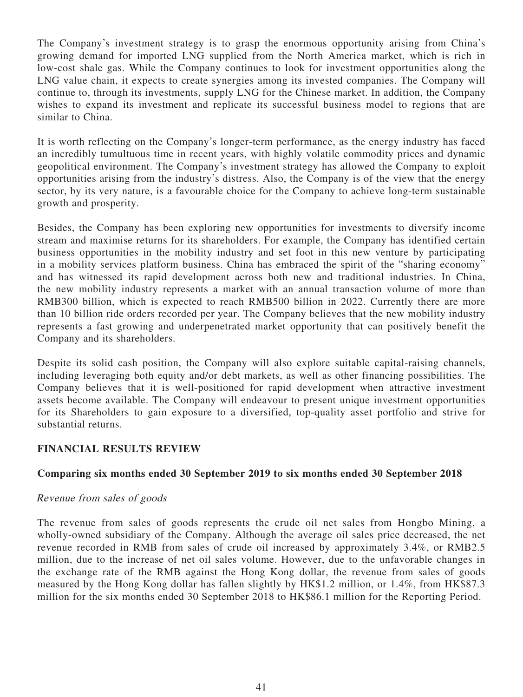The Company's investment strategy is to grasp the enormous opportunity arising from China's growing demand for imported LNG supplied from the North America market, which is rich in low-cost shale gas. While the Company continues to look for investment opportunities along the LNG value chain, it expects to create synergies among its invested companies. The Company will continue to, through its investments, supply LNG for the Chinese market. In addition, the Company wishes to expand its investment and replicate its successful business model to regions that are similar to China.

It is worth reflecting on the Company's longer-term performance, as the energy industry has faced an incredibly tumultuous time in recent years, with highly volatile commodity prices and dynamic geopolitical environment. The Company's investment strategy has allowed the Company to exploit opportunities arising from the industry's distress. Also, the Company is of the view that the energy sector, by its very nature, is a favourable choice for the Company to achieve long-term sustainable growth and prosperity.

Besides, the Company has been exploring new opportunities for investments to diversify income stream and maximise returns for its shareholders. For example, the Company has identified certain business opportunities in the mobility industry and set foot in this new venture by participating in a mobility services platform business. China has embraced the spirit of the "sharing economy" and has witnessed its rapid development across both new and traditional industries. In China, the new mobility industry represents a market with an annual transaction volume of more than RMB300 billion, which is expected to reach RMB500 billion in 2022. Currently there are more than 10 billion ride orders recorded per year. The Company believes that the new mobility industry represents a fast growing and underpenetrated market opportunity that can positively benefit the Company and its shareholders.

Despite its solid cash position, the Company will also explore suitable capital-raising channels, including leveraging both equity and/or debt markets, as well as other financing possibilities. The Company believes that it is well-positioned for rapid development when attractive investment assets become available. The Company will endeavour to present unique investment opportunities for its Shareholders to gain exposure to a diversified, top-quality asset portfolio and strive for substantial returns.

# **FINANCIAL RESULTS REVIEW**

### **Comparing six months ended 30 September 2019 to six months ended 30 September 2018**

### Revenue from sales of goods

The revenue from sales of goods represents the crude oil net sales from Hongbo Mining, a wholly-owned subsidiary of the Company. Although the average oil sales price decreased, the net revenue recorded in RMB from sales of crude oil increased by approximately 3.4%, or RMB2.5 million, due to the increase of net oil sales volume. However, due to the unfavorable changes in the exchange rate of the RMB against the Hong Kong dollar, the revenue from sales of goods measured by the Hong Kong dollar has fallen slightly by HK\$1.2 million, or 1.4%, from HK\$87.3 million for the six months ended 30 September 2018 to HK\$86.1 million for the Reporting Period.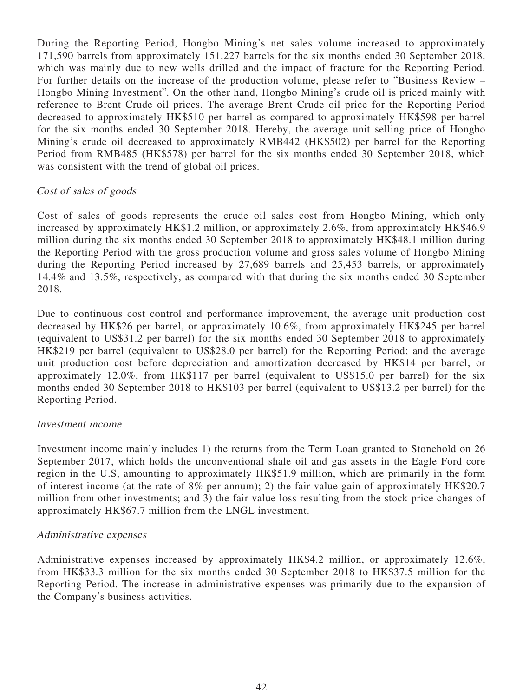During the Reporting Period, Hongbo Mining's net sales volume increased to approximately 171,590 barrels from approximately 151,227 barrels for the six months ended 30 September 2018, which was mainly due to new wells drilled and the impact of fracture for the Reporting Period. For further details on the increase of the production volume, please refer to "Business Review – Hongbo Mining Investment". On the other hand, Hongbo Mining's crude oil is priced mainly with reference to Brent Crude oil prices. The average Brent Crude oil price for the Reporting Period decreased to approximately HK\$510 per barrel as compared to approximately HK\$598 per barrel for the six months ended 30 September 2018. Hereby, the average unit selling price of Hongbo Mining's crude oil decreased to approximately RMB442 (HK\$502) per barrel for the Reporting Period from RMB485 (HK\$578) per barrel for the six months ended 30 September 2018, which was consistent with the trend of global oil prices.

### Cost of sales of goods

Cost of sales of goods represents the crude oil sales cost from Hongbo Mining, which only increased by approximately HK\$1.2 million, or approximately 2.6%, from approximately HK\$46.9 million during the six months ended 30 September 2018 to approximately HK\$48.1 million during the Reporting Period with the gross production volume and gross sales volume of Hongbo Mining during the Reporting Period increased by 27,689 barrels and 25,453 barrels, or approximately 14.4% and 13.5%, respectively, as compared with that during the six months ended 30 September 2018.

Due to continuous cost control and performance improvement, the average unit production cost decreased by HK\$26 per barrel, or approximately 10.6%, from approximately HK\$245 per barrel (equivalent to US\$31.2 per barrel) for the six months ended 30 September 2018 to approximately HK\$219 per barrel (equivalent to US\$28.0 per barrel) for the Reporting Period; and the average unit production cost before depreciation and amortization decreased by HK\$14 per barrel, or approximately 12.0%, from HK\$117 per barrel (equivalent to US\$15.0 per barrel) for the six months ended 30 September 2018 to HK\$103 per barrel (equivalent to US\$13.2 per barrel) for the Reporting Period.

#### Investment income

Investment income mainly includes 1) the returns from the Term Loan granted to Stonehold on 26 September 2017, which holds the unconventional shale oil and gas assets in the Eagle Ford core region in the U.S, amounting to approximately HK\$51.9 million, which are primarily in the form of interest income (at the rate of 8% per annum); 2) the fair value gain of approximately HK\$20.7 million from other investments; and 3) the fair value loss resulting from the stock price changes of approximately HK\$67.7 million from the LNGL investment.

#### Administrative expenses

Administrative expenses increased by approximately HK\$4.2 million, or approximately 12.6%, from HK\$33.3 million for the six months ended 30 September 2018 to HK\$37.5 million for the Reporting Period. The increase in administrative expenses was primarily due to the expansion of the Company's business activities.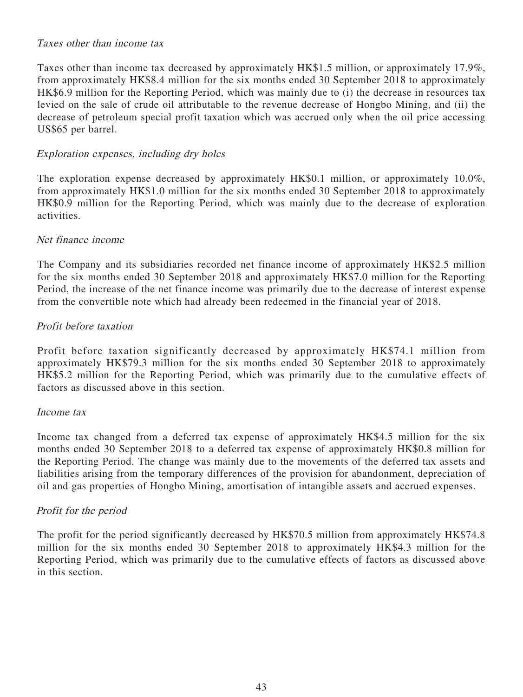#### Taxes other than income tax

Taxes other than income tax decreased by approximately HK\$1.5 million, or approximately 17.9%, from approximately HK\$8.4 million for the six months ended 30 September 2018 to approximately HK\$6.9 million for the Reporting Period, which was mainly due to (i) the decrease in resources tax levied on the sale of crude oil attributable to the revenue decrease of Hongbo Mining, and (ii) the decrease of petroleum special profit taxation which was accrued only when the oil price accessing US\$65 per barrel.

#### Exploration expenses, including dry holes

The exploration expense decreased by approximately HK\$0.1 million, or approximately 10.0%, from approximately HK\$1.0 million for the six months ended 30 September 2018 to approximately HK\$0.9 million for the Reporting Period, which was mainly due to the decrease of exploration activities.

#### Net finance income

The Company and its subsidiaries recorded net finance income of approximately HK\$2.5 million for the six months ended 30 September 2018 and approximately HK\$7.0 million for the Reporting Period, the increase of the net finance income was primarily due to the decrease of interest expense from the convertible note which had already been redeemed in the financial year of 2018.

#### Profit before taxation

Profit before taxation significantly decreased by approximately HK\$74.1 million from approximately HK\$79.3 million for the six months ended 30 September 2018 to approximately HK\$5.2 million for the Reporting Period, which was primarily due to the cumulative effects of factors as discussed above in this section.

#### Income tax

Income tax changed from a deferred tax expense of approximately HK\$4.5 million for the six months ended 30 September 2018 to a deferred tax expense of approximately HK\$0.8 million for the Reporting Period. The change was mainly due to the movements of the deferred tax assets and liabilities arising from the temporary differences of the provision for abandonment, depreciation of oil and gas properties of Hongbo Mining, amortisation of intangible assets and accrued expenses.

#### Profit for the period

The profit for the period significantly decreased by HK\$70.5 million from approximately HK\$74.8 million for the six months ended 30 September 2018 to approximately HK\$4.3 million for the Reporting Period, which was primarily due to the cumulative effects of factors as discussed above in this section.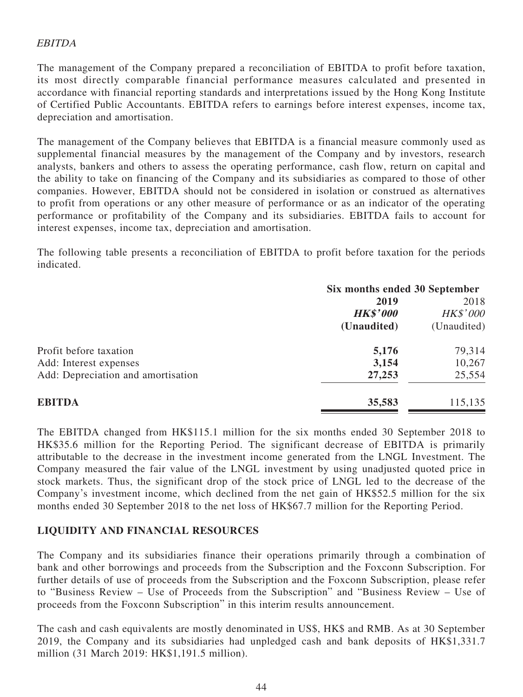### EBITDA

The management of the Company prepared a reconciliation of EBITDA to profit before taxation, its most directly comparable financial performance measures calculated and presented in accordance with financial reporting standards and interpretations issued by the Hong Kong Institute of Certified Public Accountants. EBITDA refers to earnings before interest expenses, income tax, depreciation and amortisation.

The management of the Company believes that EBITDA is a financial measure commonly used as supplemental financial measures by the management of the Company and by investors, research analysts, bankers and others to assess the operating performance, cash flow, return on capital and the ability to take on financing of the Company and its subsidiaries as compared to those of other companies. However, EBITDA should not be considered in isolation or construed as alternatives to profit from operations or any other measure of performance or as an indicator of the operating performance or profitability of the Company and its subsidiaries. EBITDA fails to account for interest expenses, income tax, depreciation and amortisation.

The following table presents a reconciliation of EBITDA to profit before taxation for the periods indicated.

|                                    | Six months ended 30 September |                 |  |
|------------------------------------|-------------------------------|-----------------|--|
|                                    | 2019                          |                 |  |
|                                    | <b>HK\$'000</b>               | <b>HK\$'000</b> |  |
|                                    | (Unaudited)                   | (Unaudited)     |  |
| Profit before taxation             | 5,176                         | 79,314          |  |
| Add: Interest expenses             | 3,154                         | 10,267          |  |
| Add: Depreciation and amortisation | 27,253                        | 25,554          |  |
| <b>EBITDA</b>                      | 35,583                        | 115,135         |  |

The EBITDA changed from HK\$115.1 million for the six months ended 30 September 2018 to HK\$35.6 million for the Reporting Period. The significant decrease of EBITDA is primarily attributable to the decrease in the investment income generated from the LNGL Investment. The Company measured the fair value of the LNGL investment by using unadjusted quoted price in stock markets. Thus, the significant drop of the stock price of LNGL led to the decrease of the Company's investment income, which declined from the net gain of HK\$52.5 million for the six months ended 30 September 2018 to the net loss of HK\$67.7 million for the Reporting Period.

### **LIQUIDITY AND FINANCIAL RESOURCES**

The Company and its subsidiaries finance their operations primarily through a combination of bank and other borrowings and proceeds from the Subscription and the Foxconn Subscription. For further details of use of proceeds from the Subscription and the Foxconn Subscription, please refer to "Business Review – Use of Proceeds from the Subscription" and "Business Review – Use of proceeds from the Foxconn Subscription" in this interim results announcement.

The cash and cash equivalents are mostly denominated in US\$, HK\$ and RMB. As at 30 September 2019, the Company and its subsidiaries had unpledged cash and bank deposits of HK\$1,331.7 million (31 March 2019: HK\$1,191.5 million).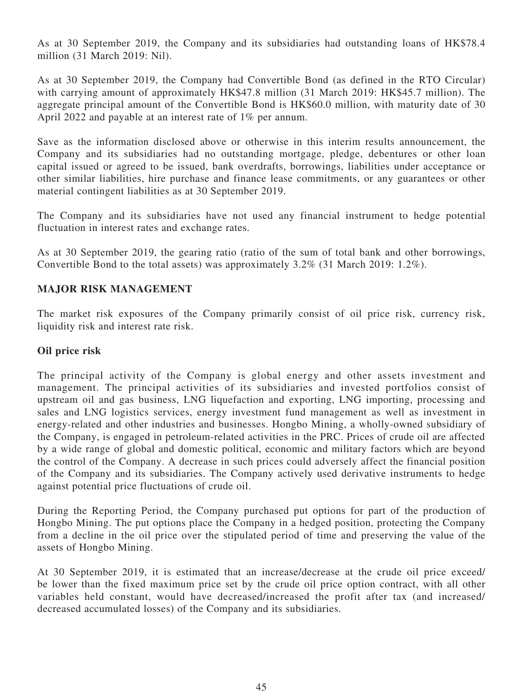As at 30 September 2019, the Company and its subsidiaries had outstanding loans of HK\$78.4 million (31 March 2019: Nil).

As at 30 September 2019, the Company had Convertible Bond (as defined in the RTO Circular) with carrying amount of approximately HK\$47.8 million (31 March 2019: HK\$45.7 million). The aggregate principal amount of the Convertible Bond is HK\$60.0 million, with maturity date of 30 April 2022 and payable at an interest rate of 1% per annum.

Save as the information disclosed above or otherwise in this interim results announcement, the Company and its subsidiaries had no outstanding mortgage, pledge, debentures or other loan capital issued or agreed to be issued, bank overdrafts, borrowings, liabilities under acceptance or other similar liabilities, hire purchase and finance lease commitments, or any guarantees or other material contingent liabilities as at 30 September 2019.

The Company and its subsidiaries have not used any financial instrument to hedge potential fluctuation in interest rates and exchange rates.

As at 30 September 2019, the gearing ratio (ratio of the sum of total bank and other borrowings, Convertible Bond to the total assets) was approximately 3.2% (31 March 2019: 1.2%).

### **MAJOR RISK MANAGEMENT**

The market risk exposures of the Company primarily consist of oil price risk, currency risk, liquidity risk and interest rate risk.

#### **Oil price risk**

The principal activity of the Company is global energy and other assets investment and management. The principal activities of its subsidiaries and invested portfolios consist of upstream oil and gas business, LNG liquefaction and exporting, LNG importing, processing and sales and LNG logistics services, energy investment fund management as well as investment in energy-related and other industries and businesses. Hongbo Mining, a wholly-owned subsidiary of the Company, is engaged in petroleum-related activities in the PRC. Prices of crude oil are affected by a wide range of global and domestic political, economic and military factors which are beyond the control of the Company. A decrease in such prices could adversely affect the financial position of the Company and its subsidiaries. The Company actively used derivative instruments to hedge against potential price fluctuations of crude oil.

During the Reporting Period, the Company purchased put options for part of the production of Hongbo Mining. The put options place the Company in a hedged position, protecting the Company from a decline in the oil price over the stipulated period of time and preserving the value of the assets of Hongbo Mining.

At 30 September 2019, it is estimated that an increase/decrease at the crude oil price exceed/ be lower than the fixed maximum price set by the crude oil price option contract, with all other variables held constant, would have decreased/increased the profit after tax (and increased/ decreased accumulated losses) of the Company and its subsidiaries.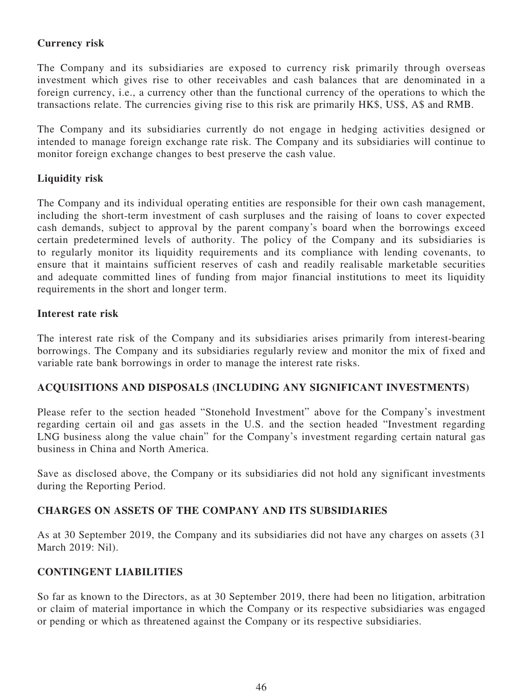### **Currency risk**

The Company and its subsidiaries are exposed to currency risk primarily through overseas investment which gives rise to other receivables and cash balances that are denominated in a foreign currency, i.e., a currency other than the functional currency of the operations to which the transactions relate. The currencies giving rise to this risk are primarily HK\$, US\$, A\$ and RMB.

The Company and its subsidiaries currently do not engage in hedging activities designed or intended to manage foreign exchange rate risk. The Company and its subsidiaries will continue to monitor foreign exchange changes to best preserve the cash value.

### **Liquidity risk**

The Company and its individual operating entities are responsible for their own cash management, including the short-term investment of cash surpluses and the raising of loans to cover expected cash demands, subject to approval by the parent company's board when the borrowings exceed certain predetermined levels of authority. The policy of the Company and its subsidiaries is to regularly monitor its liquidity requirements and its compliance with lending covenants, to ensure that it maintains sufficient reserves of cash and readily realisable marketable securities and adequate committed lines of funding from major financial institutions to meet its liquidity requirements in the short and longer term.

#### **Interest rate risk**

The interest rate risk of the Company and its subsidiaries arises primarily from interest-bearing borrowings. The Company and its subsidiaries regularly review and monitor the mix of fixed and variable rate bank borrowings in order to manage the interest rate risks.

### **ACQUISITIONS AND DISPOSALS (INCLUDING ANY SIGNIFICANT INVESTMENTS)**

Please refer to the section headed "Stonehold Investment" above for the Company's investment regarding certain oil and gas assets in the U.S. and the section headed "Investment regarding LNG business along the value chain" for the Company's investment regarding certain natural gas business in China and North America.

Save as disclosed above, the Company or its subsidiaries did not hold any significant investments during the Reporting Period.

### **CHARGES ON ASSETS OF THE COMPANY AND ITS SUBSIDIARIES**

As at 30 September 2019, the Company and its subsidiaries did not have any charges on assets (31 March 2019: Nil).

### **CONTINGENT LIABILITIES**

So far as known to the Directors, as at 30 September 2019, there had been no litigation, arbitration or claim of material importance in which the Company or its respective subsidiaries was engaged or pending or which as threatened against the Company or its respective subsidiaries.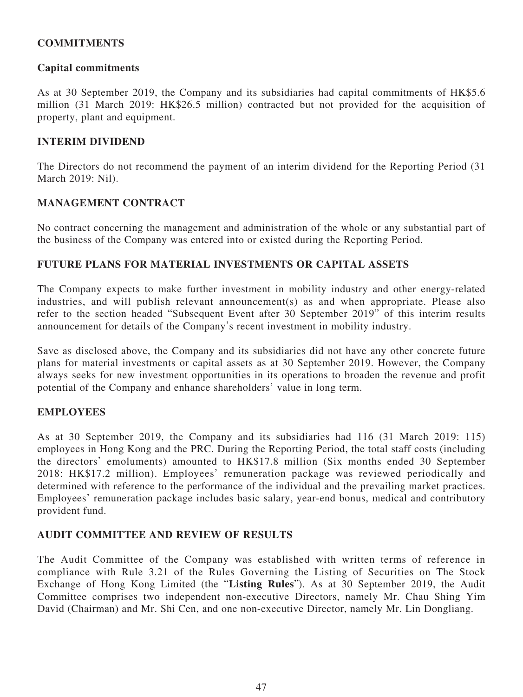### **COMMITMENTS**

### **Capital commitments**

As at 30 September 2019, the Company and its subsidiaries had capital commitments of HK\$5.6 million (31 March 2019: HK\$26.5 million) contracted but not provided for the acquisition of property, plant and equipment.

### **INTERIM DIVIDEND**

The Directors do not recommend the payment of an interim dividend for the Reporting Period (31 March 2019: Nil).

### **MANAGEMENT CONTRACT**

No contract concerning the management and administration of the whole or any substantial part of the business of the Company was entered into or existed during the Reporting Period.

### **FUTURE PLANS FOR MATERIAL INVESTMENTS OR CAPITAL ASSETS**

The Company expects to make further investment in mobility industry and other energy-related industries, and will publish relevant announcement(s) as and when appropriate. Please also refer to the section headed "Subsequent Event after 30 September 2019" of this interim results announcement for details of the Company's recent investment in mobility industry.

Save as disclosed above, the Company and its subsidiaries did not have any other concrete future plans for material investments or capital assets as at 30 September 2019. However, the Company always seeks for new investment opportunities in its operations to broaden the revenue and profit potential of the Company and enhance shareholders' value in long term.

#### **EMPLOYEES**

As at 30 September 2019, the Company and its subsidiaries had 116 (31 March 2019: 115) employees in Hong Kong and the PRC. During the Reporting Period, the total staff costs (including the directors' emoluments) amounted to HK\$17.8 million (Six months ended 30 September 2018: HK\$17.2 million). Employees' remuneration package was reviewed periodically and determined with reference to the performance of the individual and the prevailing market practices. Employees' remuneration package includes basic salary, year-end bonus, medical and contributory provident fund.

#### **AUDIT COMMITTEE AND REVIEW OF RESULTS**

The Audit Committee of the Company was established with written terms of reference in compliance with Rule 3.21 of the Rules Governing the Listing of Securities on The Stock Exchange of Hong Kong Limited (the "**Listing Rules**"). As at 30 September 2019, the Audit Committee comprises two independent non-executive Directors, namely Mr. Chau Shing Yim David (Chairman) and Mr. Shi Cen, and one non-executive Director, namely Mr. Lin Dongliang.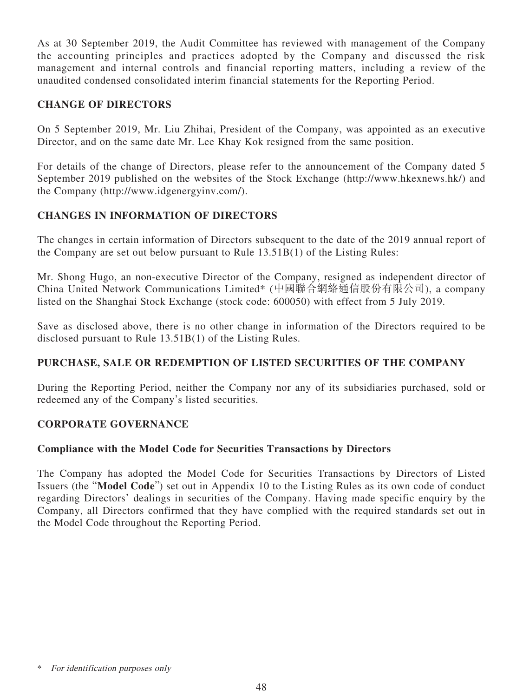As at 30 September 2019, the Audit Committee has reviewed with management of the Company the accounting principles and practices adopted by the Company and discussed the risk management and internal controls and financial reporting matters, including a review of the unaudited condensed consolidated interim financial statements for the Reporting Period.

### **CHANGE OF DIRECTORS**

On 5 September 2019, Mr. Liu Zhihai, President of the Company, was appointed as an executive Director, and on the same date Mr. Lee Khay Kok resigned from the same position.

For details of the change of Directors, please refer to the announcement of the Company dated 5 September 2019 published on the websites of the Stock Exchange (http://www.hkexnews.hk/) and the Company (http://www.idgenergyinv.com/).

### **CHANGES IN INFORMATION OF DIRECTORS**

The changes in certain information of Directors subsequent to the date of the 2019 annual report of the Company are set out below pursuant to Rule 13.51B(1) of the Listing Rules:

Mr. Shong Hugo, an non-executive Director of the Company, resigned as independent director of China United Network Communications Limited\* (中國聯合網絡通信股份有限公司), a company listed on the Shanghai Stock Exchange (stock code: 600050) with effect from 5 July 2019.

Save as disclosed above, there is no other change in information of the Directors required to be disclosed pursuant to Rule 13.51B(1) of the Listing Rules.

### **PURCHASE, SALE OR REDEMPTION OF LISTED SECURITIES OF THE COMPANY**

During the Reporting Period, neither the Company nor any of its subsidiaries purchased, sold or redeemed any of the Company's listed securities.

### **CORPORATE GOVERNANCE**

### **Compliance with the Model Code for Securities Transactions by Directors**

The Company has adopted the Model Code for Securities Transactions by Directors of Listed Issuers (the "**Model Code**") set out in Appendix 10 to the Listing Rules as its own code of conduct regarding Directors' dealings in securities of the Company. Having made specific enquiry by the Company, all Directors confirmed that they have complied with the required standards set out in the Model Code throughout the Reporting Period.

For identification purposes only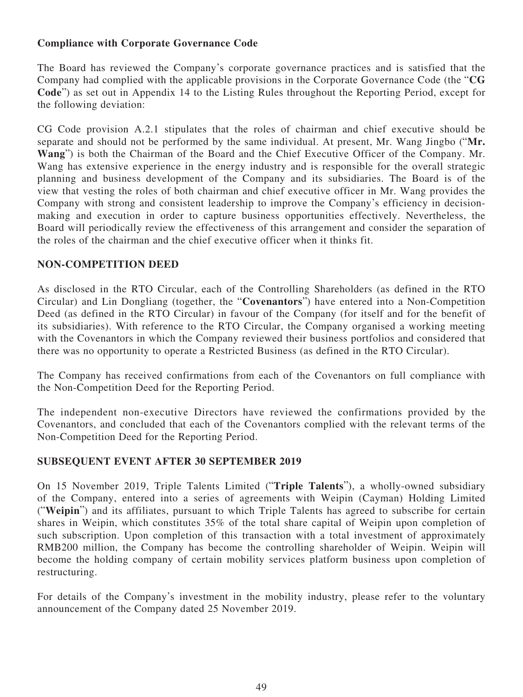### **Compliance with Corporate Governance Code**

The Board has reviewed the Company's corporate governance practices and is satisfied that the Company had complied with the applicable provisions in the Corporate Governance Code (the "**CG Code**") as set out in Appendix 14 to the Listing Rules throughout the Reporting Period, except for the following deviation:

CG Code provision A.2.1 stipulates that the roles of chairman and chief executive should be separate and should not be performed by the same individual. At present, Mr. Wang Jingbo ("**Mr. Wang**") is both the Chairman of the Board and the Chief Executive Officer of the Company. Mr. Wang has extensive experience in the energy industry and is responsible for the overall strategic planning and business development of the Company and its subsidiaries. The Board is of the view that vesting the roles of both chairman and chief executive officer in Mr. Wang provides the Company with strong and consistent leadership to improve the Company's efficiency in decisionmaking and execution in order to capture business opportunities effectively. Nevertheless, the Board will periodically review the effectiveness of this arrangement and consider the separation of the roles of the chairman and the chief executive officer when it thinks fit.

### **NON-COMPETITION DEED**

As disclosed in the RTO Circular, each of the Controlling Shareholders (as defined in the RTO Circular) and Lin Dongliang (together, the "**Covenantors**") have entered into a Non-Competition Deed (as defined in the RTO Circular) in favour of the Company (for itself and for the benefit of its subsidiaries). With reference to the RTO Circular, the Company organised a working meeting with the Covenantors in which the Company reviewed their business portfolios and considered that there was no opportunity to operate a Restricted Business (as defined in the RTO Circular).

The Company has received confirmations from each of the Covenantors on full compliance with the Non-Competition Deed for the Reporting Period.

The independent non-executive Directors have reviewed the confirmations provided by the Covenantors, and concluded that each of the Covenantors complied with the relevant terms of the Non-Competition Deed for the Reporting Period.

### **SUBSEQUENT EVENT AFTER 30 SEPTEMBER 2019**

On 15 November 2019, Triple Talents Limited ("**Triple Talents**"), a wholly-owned subsidiary of the Company, entered into a series of agreements with Weipin (Cayman) Holding Limited ("**Weipin**") and its affiliates, pursuant to which Triple Talents has agreed to subscribe for certain shares in Weipin, which constitutes 35% of the total share capital of Weipin upon completion of such subscription. Upon completion of this transaction with a total investment of approximately RMB200 million, the Company has become the controlling shareholder of Weipin. Weipin will become the holding company of certain mobility services platform business upon completion of restructuring.

For details of the Company's investment in the mobility industry, please refer to the voluntary announcement of the Company dated 25 November 2019.